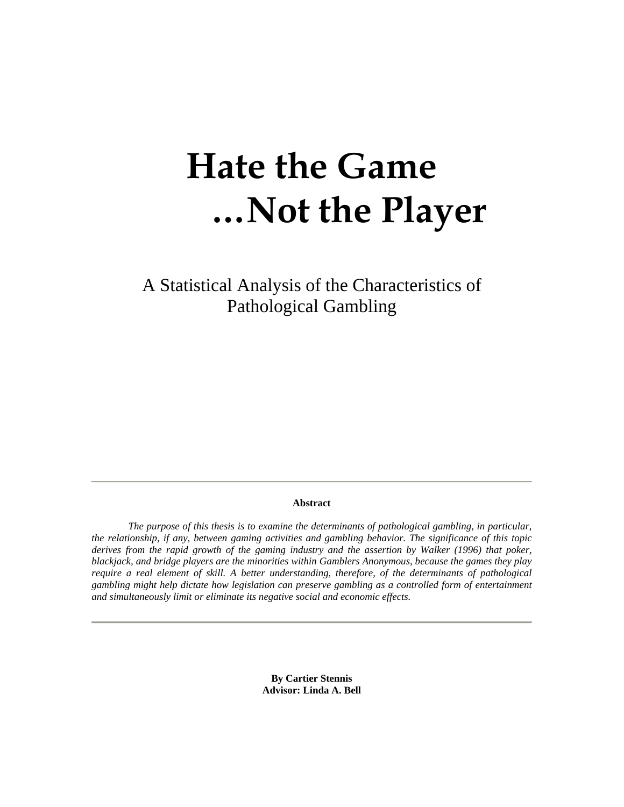# **Hate the Game …Not the Player**

A Statistical Analysis of the Characteristics of Pathological Gambling

#### **Abstract**

 *The purpose of this thesis is to examine the determinants of pathological gambling, in particular, the relationship, if any, between gaming activities and gambling behavior. The significance of this topic*  derives from the rapid growth of the gaming industry and the assertion by Walker (1996) that poker, *blackjack, and bridge players are the minorities within Gamblers Anonymous, because the games they play require a real element of skill. A better understanding, therefore, of the determinants of pathological gambling might help dictate how legislation can preserve gambling as a controlled form of entertainment and simultaneously limit or eliminate its negative social and economic effects.* 

> **By Cartier Stennis Advisor: Linda A. Bell**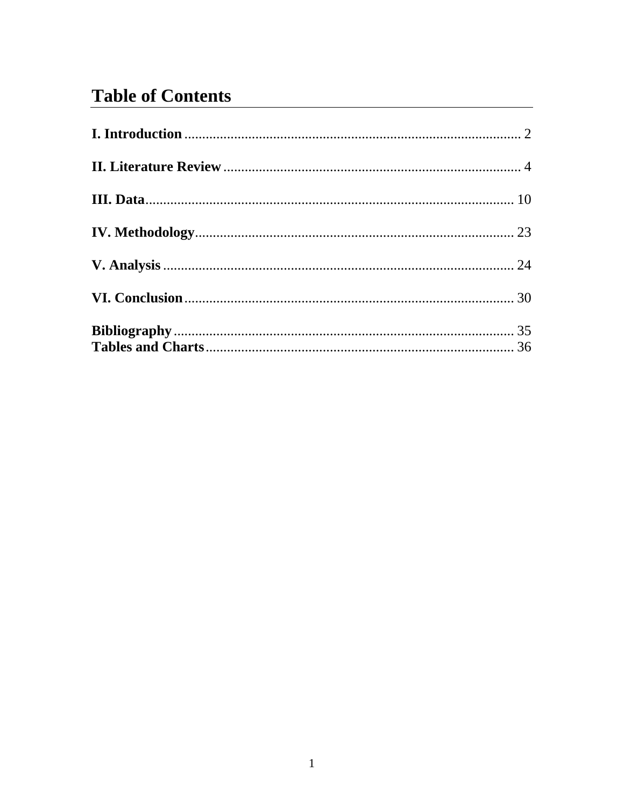# **Table of Contents**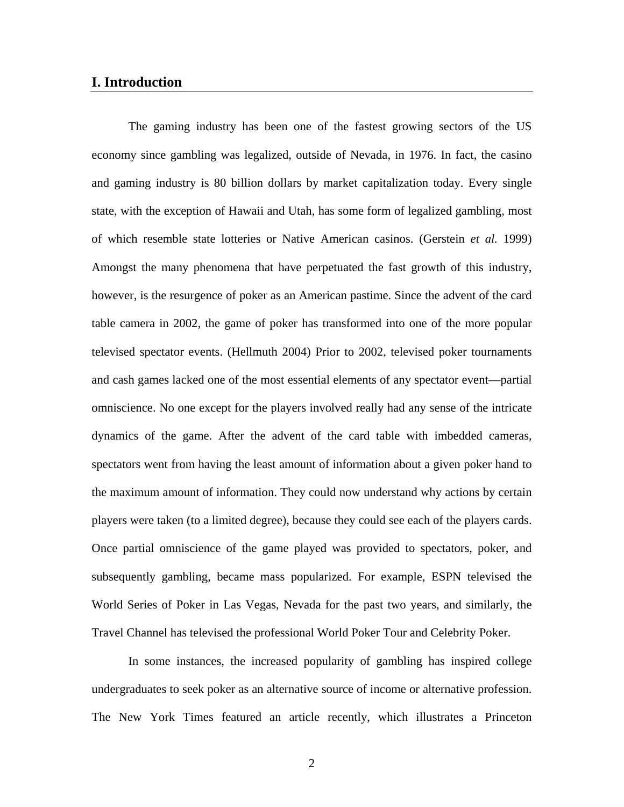#### **I. Introduction**

 The gaming industry has been one of the fastest growing sectors of the US economy since gambling was legalized, outside of Nevada, in 1976. In fact, the casino and gaming industry is 80 billion dollars by market capitalization today. Every single state, with the exception of Hawaii and Utah, has some form of legalized gambling, most of which resemble state lotteries or Native American casinos. (Gerstein *et al.* 1999) Amongst the many phenomena that have perpetuated the fast growth of this industry, however, is the resurgence of poker as an American pastime. Since the advent of the card table camera in 2002, the game of poker has transformed into one of the more popular televised spectator events. (Hellmuth 2004) Prior to 2002, televised poker tournaments and cash games lacked one of the most essential elements of any spectator event—partial omniscience. No one except for the players involved really had any sense of the intricate dynamics of the game. After the advent of the card table with imbedded cameras, spectators went from having the least amount of information about a given poker hand to the maximum amount of information. They could now understand why actions by certain players were taken (to a limited degree), because they could see each of the players cards. Once partial omniscience of the game played was provided to spectators, poker, and subsequently gambling, became mass popularized. For example, ESPN televised the World Series of Poker in Las Vegas, Nevada for the past two years, and similarly, the Travel Channel has televised the professional World Poker Tour and Celebrity Poker.

 In some instances, the increased popularity of gambling has inspired college undergraduates to seek poker as an alternative source of income or alternative profession. The New York Times featured an article recently, which illustrates a Princeton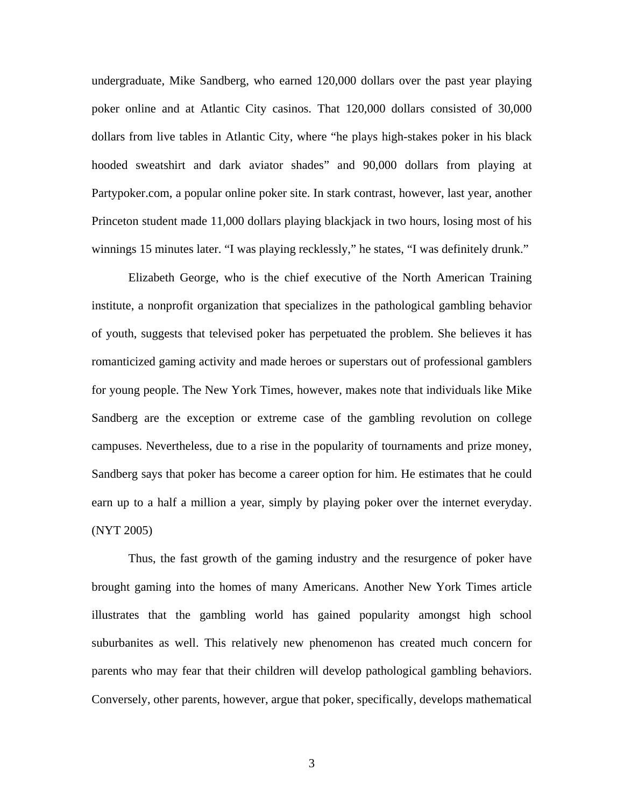undergraduate, Mike Sandberg, who earned 120,000 dollars over the past year playing poker online and at Atlantic City casinos. That 120,000 dollars consisted of 30,000 dollars from live tables in Atlantic City, where "he plays high-stakes poker in his black hooded sweatshirt and dark aviator shades" and 90,000 dollars from playing at Partypoker.com, a popular online poker site. In stark contrast, however, last year, another Princeton student made 11,000 dollars playing blackjack in two hours, losing most of his winnings 15 minutes later. "I was playing recklessly," he states, "I was definitely drunk."

 Elizabeth George, who is the chief executive of the North American Training institute, a nonprofit organization that specializes in the pathological gambling behavior of youth, suggests that televised poker has perpetuated the problem. She believes it has romanticized gaming activity and made heroes or superstars out of professional gamblers for young people. The New York Times, however, makes note that individuals like Mike Sandberg are the exception or extreme case of the gambling revolution on college campuses. Nevertheless, due to a rise in the popularity of tournaments and prize money, Sandberg says that poker has become a career option for him. He estimates that he could earn up to a half a million a year, simply by playing poker over the internet everyday. (NYT 2005)

 Thus, the fast growth of the gaming industry and the resurgence of poker have brought gaming into the homes of many Americans. Another New York Times article illustrates that the gambling world has gained popularity amongst high school suburbanites as well. This relatively new phenomenon has created much concern for parents who may fear that their children will develop pathological gambling behaviors. Conversely, other parents, however, argue that poker, specifically, develops mathematical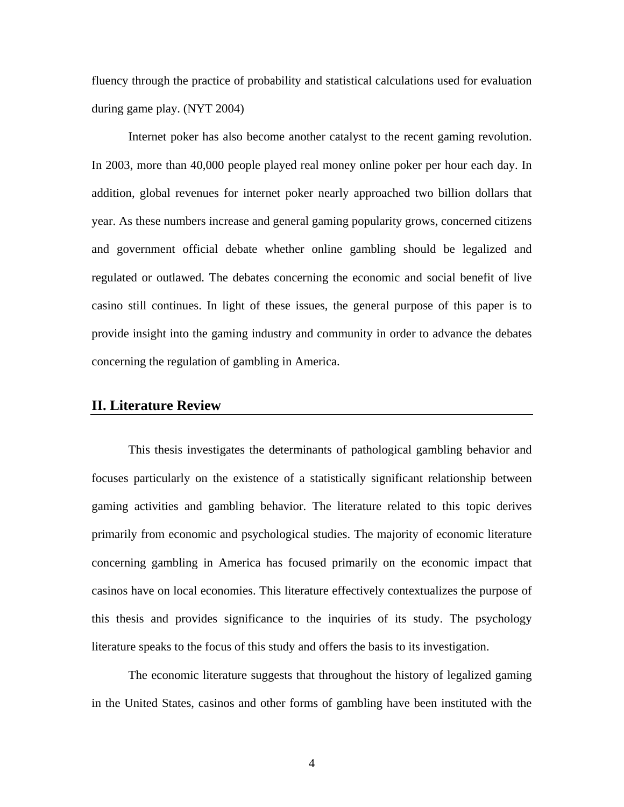fluency through the practice of probability and statistical calculations used for evaluation during game play. (NYT 2004)

 Internet poker has also become another catalyst to the recent gaming revolution. In 2003, more than 40,000 people played real money online poker per hour each day. In addition, global revenues for internet poker nearly approached two billion dollars that year. As these numbers increase and general gaming popularity grows, concerned citizens and government official debate whether online gambling should be legalized and regulated or outlawed. The debates concerning the economic and social benefit of live casino still continues. In light of these issues, the general purpose of this paper is to provide insight into the gaming industry and community in order to advance the debates concerning the regulation of gambling in America.

## **II. Literature Review**

This thesis investigates the determinants of pathological gambling behavior and focuses particularly on the existence of a statistically significant relationship between gaming activities and gambling behavior. The literature related to this topic derives primarily from economic and psychological studies. The majority of economic literature concerning gambling in America has focused primarily on the economic impact that casinos have on local economies. This literature effectively contextualizes the purpose of this thesis and provides significance to the inquiries of its study. The psychology literature speaks to the focus of this study and offers the basis to its investigation.

The economic literature suggests that throughout the history of legalized gaming in the United States, casinos and other forms of gambling have been instituted with the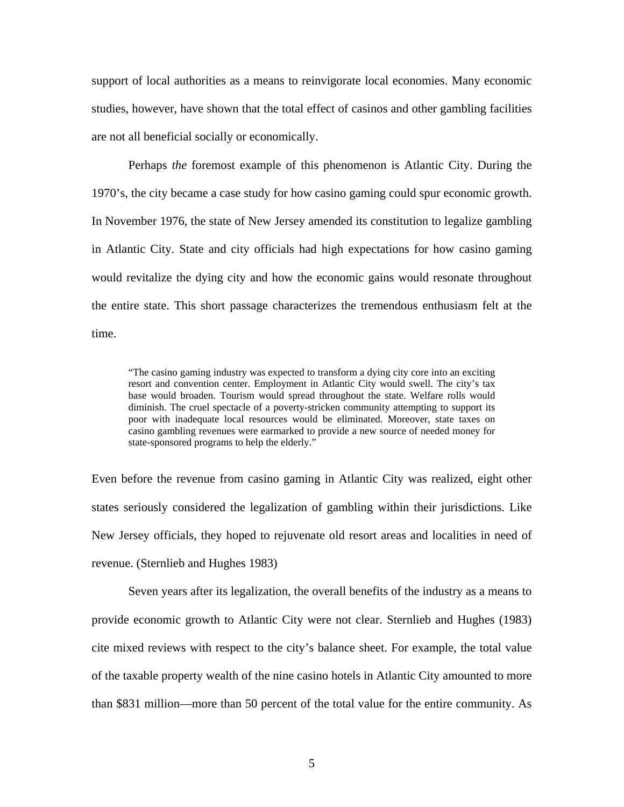support of local authorities as a means to reinvigorate local economies. Many economic studies, however, have shown that the total effect of casinos and other gambling facilities are not all beneficial socially or economically.

Perhaps *the* foremost example of this phenomenon is Atlantic City. During the 1970's, the city became a case study for how casino gaming could spur economic growth. In November 1976, the state of New Jersey amended its constitution to legalize gambling in Atlantic City. State and city officials had high expectations for how casino gaming would revitalize the dying city and how the economic gains would resonate throughout the entire state. This short passage characterizes the tremendous enthusiasm felt at the time.

"The casino gaming industry was expected to transform a dying city core into an exciting resort and convention center. Employment in Atlantic City would swell. The city's tax base would broaden. Tourism would spread throughout the state. Welfare rolls would diminish. The cruel spectacle of a poverty-stricken community attempting to support its poor with inadequate local resources would be eliminated. Moreover, state taxes on casino gambling revenues were earmarked to provide a new source of needed money for state-sponsored programs to help the elderly."

Even before the revenue from casino gaming in Atlantic City was realized, eight other states seriously considered the legalization of gambling within their jurisdictions. Like New Jersey officials, they hoped to rejuvenate old resort areas and localities in need of revenue. (Sternlieb and Hughes 1983)

 Seven years after its legalization, the overall benefits of the industry as a means to provide economic growth to Atlantic City were not clear. Sternlieb and Hughes (1983) cite mixed reviews with respect to the city's balance sheet. For example, the total value of the taxable property wealth of the nine casino hotels in Atlantic City amounted to more than \$831 million—more than 50 percent of the total value for the entire community. As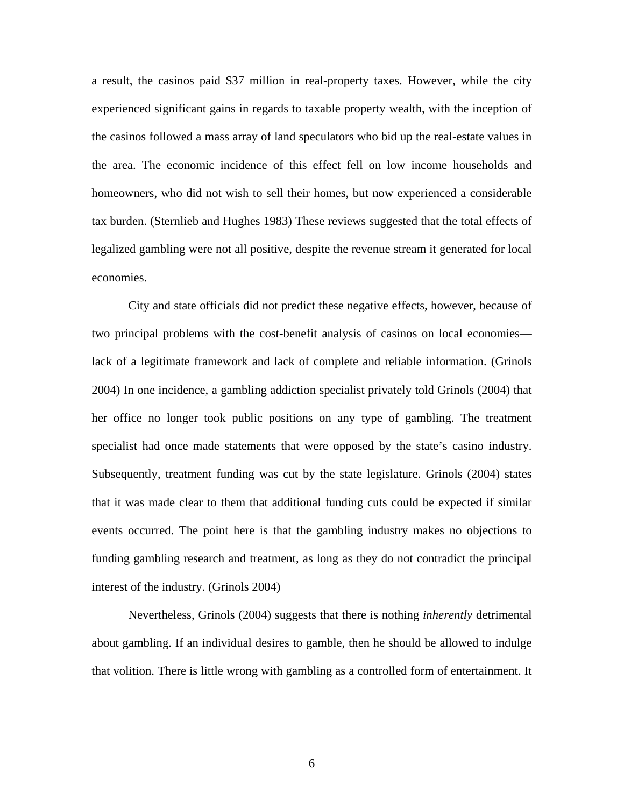a result, the casinos paid \$37 million in real-property taxes. However, while the city experienced significant gains in regards to taxable property wealth, with the inception of the casinos followed a mass array of land speculators who bid up the real-estate values in the area. The economic incidence of this effect fell on low income households and homeowners, who did not wish to sell their homes, but now experienced a considerable tax burden. (Sternlieb and Hughes 1983) These reviews suggested that the total effects of legalized gambling were not all positive, despite the revenue stream it generated for local economies.

 City and state officials did not predict these negative effects, however, because of two principal problems with the cost-benefit analysis of casinos on local economies lack of a legitimate framework and lack of complete and reliable information. (Grinols 2004) In one incidence, a gambling addiction specialist privately told Grinols (2004) that her office no longer took public positions on any type of gambling. The treatment specialist had once made statements that were opposed by the state's casino industry. Subsequently, treatment funding was cut by the state legislature. Grinols (2004) states that it was made clear to them that additional funding cuts could be expected if similar events occurred. The point here is that the gambling industry makes no objections to funding gambling research and treatment, as long as they do not contradict the principal interest of the industry. (Grinols 2004)

Nevertheless, Grinols (2004) suggests that there is nothing *inherently* detrimental about gambling. If an individual desires to gamble, then he should be allowed to indulge that volition. There is little wrong with gambling as a controlled form of entertainment. It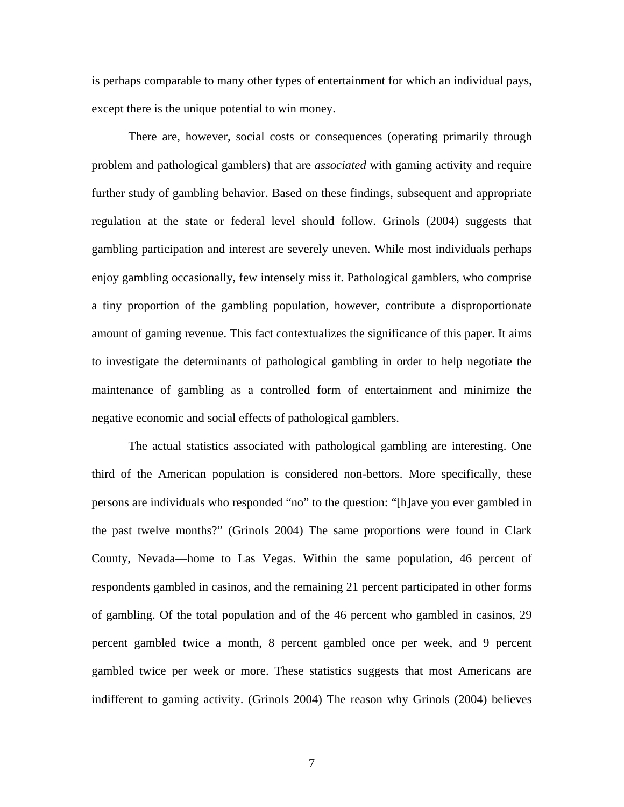is perhaps comparable to many other types of entertainment for which an individual pays, except there is the unique potential to win money.

There are, however, social costs or consequences (operating primarily through problem and pathological gamblers) that are *associated* with gaming activity and require further study of gambling behavior. Based on these findings, subsequent and appropriate regulation at the state or federal level should follow. Grinols (2004) suggests that gambling participation and interest are severely uneven. While most individuals perhaps enjoy gambling occasionally, few intensely miss it. Pathological gamblers, who comprise a tiny proportion of the gambling population, however, contribute a disproportionate amount of gaming revenue. This fact contextualizes the significance of this paper. It aims to investigate the determinants of pathological gambling in order to help negotiate the maintenance of gambling as a controlled form of entertainment and minimize the negative economic and social effects of pathological gamblers.

 The actual statistics associated with pathological gambling are interesting. One third of the American population is considered non-bettors. More specifically, these persons are individuals who responded "no" to the question: "[h]ave you ever gambled in the past twelve months?" (Grinols 2004) The same proportions were found in Clark County, Nevada—home to Las Vegas. Within the same population, 46 percent of respondents gambled in casinos, and the remaining 21 percent participated in other forms of gambling. Of the total population and of the 46 percent who gambled in casinos, 29 percent gambled twice a month, 8 percent gambled once per week, and 9 percent gambled twice per week or more. These statistics suggests that most Americans are indifferent to gaming activity. (Grinols 2004) The reason why Grinols (2004) believes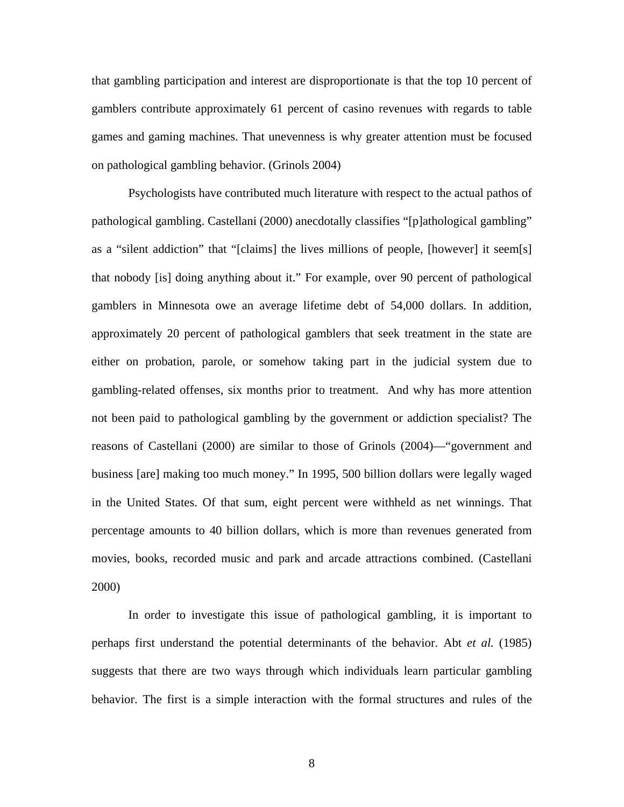that gambling participation and interest are disproportionate is that the top 10 percent of gamblers contribute approximately 61 percent of casino revenues with regards to table games and gaming machines. That unevenness is why greater attention must be focused on pathological gambling behavior. (Grinols 2004)

 Psychologists have contributed much literature with respect to the actual pathos of pathological gambling. Castellani (2000) anecdotally classifies "[p]athological gambling" as a "silent addiction" that "[claims] the lives millions of people, [however] it seem[s] that nobody [is] doing anything about it." For example, over 90 percent of pathological gamblers in Minnesota owe an average lifetime debt of 54,000 dollars. In addition, approximately 20 percent of pathological gamblers that seek treatment in the state are either on probation, parole, or somehow taking part in the judicial system due to gambling-related offenses, six months prior to treatment. And why has more attention not been paid to pathological gambling by the government or addiction specialist? The reasons of Castellani (2000) are similar to those of Grinols (2004)—"government and business [are] making too much money." In 1995, 500 billion dollars were legally waged in the United States. Of that sum, eight percent were withheld as net winnings. That percentage amounts to 40 billion dollars, which is more than revenues generated from movies, books, recorded music and park and arcade attractions combined. (Castellani 2000)

 In order to investigate this issue of pathological gambling, it is important to perhaps first understand the potential determinants of the behavior. Abt *et al.* (1985) suggests that there are two ways through which individuals learn particular gambling behavior. The first is a simple interaction with the formal structures and rules of the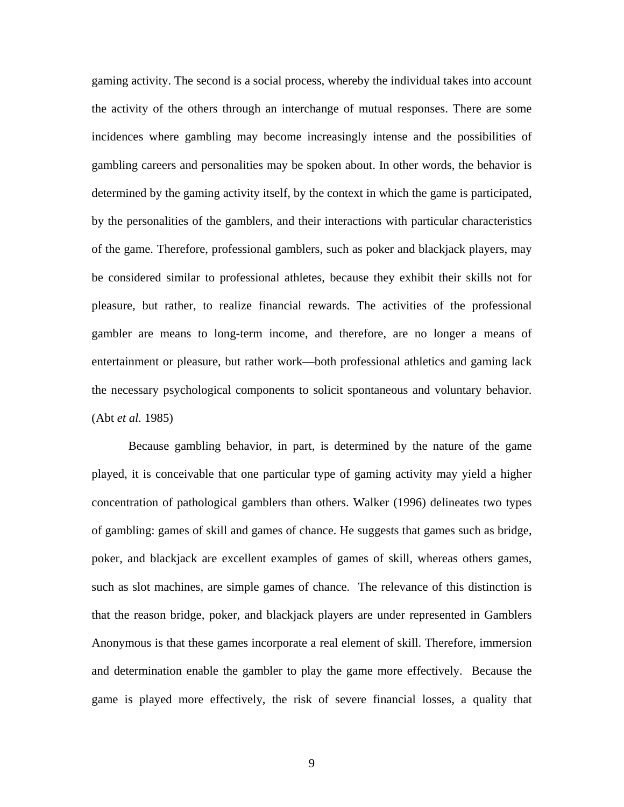gaming activity. The second is a social process, whereby the individual takes into account the activity of the others through an interchange of mutual responses. There are some incidences where gambling may become increasingly intense and the possibilities of gambling careers and personalities may be spoken about. In other words, the behavior is determined by the gaming activity itself, by the context in which the game is participated, by the personalities of the gamblers, and their interactions with particular characteristics of the game. Therefore, professional gamblers, such as poker and blackjack players, may be considered similar to professional athletes, because they exhibit their skills not for pleasure, but rather, to realize financial rewards. The activities of the professional gambler are means to long-term income, and therefore, are no longer a means of entertainment or pleasure, but rather work—both professional athletics and gaming lack the necessary psychological components to solicit spontaneous and voluntary behavior. (Abt *et al.* 1985)

 Because gambling behavior, in part, is determined by the nature of the game played, it is conceivable that one particular type of gaming activity may yield a higher concentration of pathological gamblers than others. Walker (1996) delineates two types of gambling: games of skill and games of chance. He suggests that games such as bridge, poker, and blackjack are excellent examples of games of skill, whereas others games, such as slot machines, are simple games of chance. The relevance of this distinction is that the reason bridge, poker, and blackjack players are under represented in Gamblers Anonymous is that these games incorporate a real element of skill. Therefore, immersion and determination enable the gambler to play the game more effectively. Because the game is played more effectively, the risk of severe financial losses, a quality that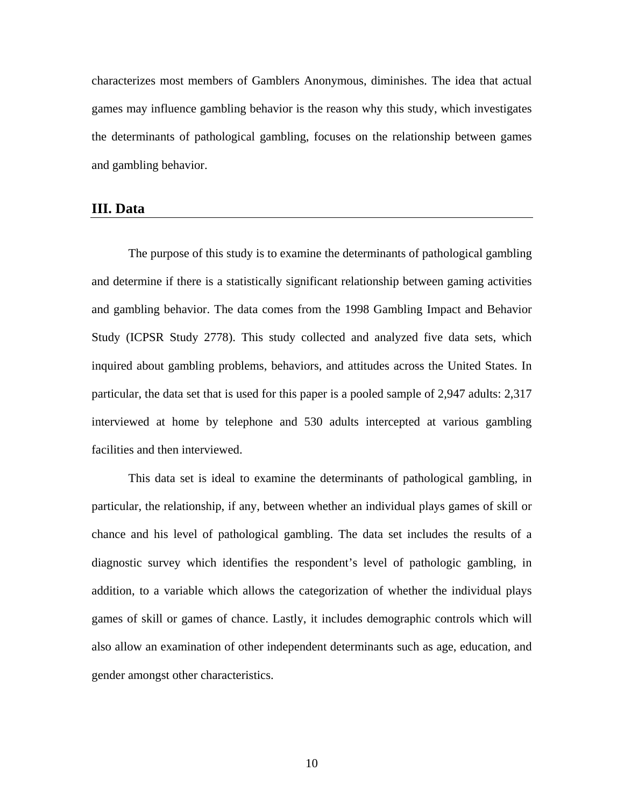characterizes most members of Gamblers Anonymous, diminishes. The idea that actual games may influence gambling behavior is the reason why this study, which investigates the determinants of pathological gambling, focuses on the relationship between games and gambling behavior.

#### **III. Data**

 The purpose of this study is to examine the determinants of pathological gambling and determine if there is a statistically significant relationship between gaming activities and gambling behavior. The data comes from the 1998 Gambling Impact and Behavior Study (ICPSR Study 2778). This study collected and analyzed five data sets, which inquired about gambling problems, behaviors, and attitudes across the United States. In particular, the data set that is used for this paper is a pooled sample of 2,947 adults: 2,317 interviewed at home by telephone and 530 adults intercepted at various gambling facilities and then interviewed.

 This data set is ideal to examine the determinants of pathological gambling, in particular, the relationship, if any, between whether an individual plays games of skill or chance and his level of pathological gambling. The data set includes the results of a diagnostic survey which identifies the respondent's level of pathologic gambling, in addition, to a variable which allows the categorization of whether the individual plays games of skill or games of chance. Lastly, it includes demographic controls which will also allow an examination of other independent determinants such as age, education, and gender amongst other characteristics.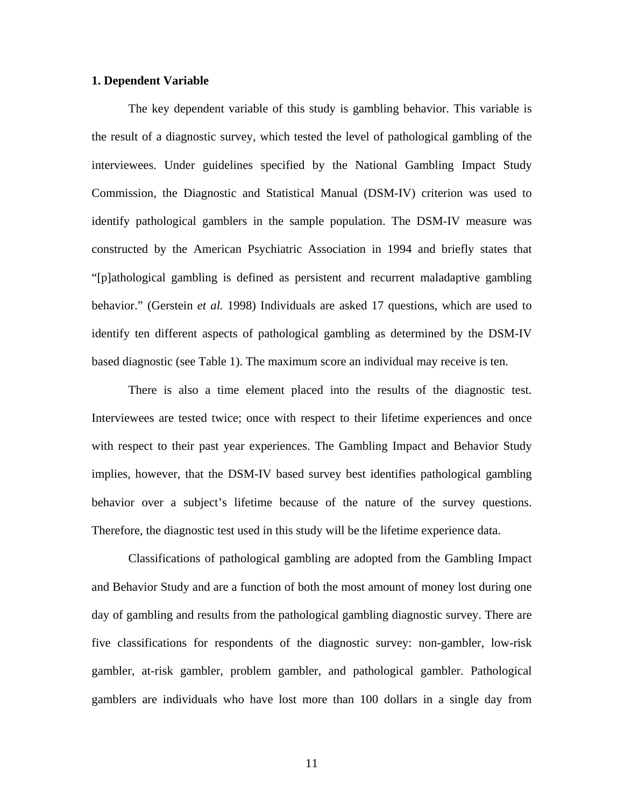#### **1. Dependent Variable**

 The key dependent variable of this study is gambling behavior. This variable is the result of a diagnostic survey, which tested the level of pathological gambling of the interviewees. Under guidelines specified by the National Gambling Impact Study Commission, the Diagnostic and Statistical Manual (DSM-IV) criterion was used to identify pathological gamblers in the sample population. The DSM-IV measure was constructed by the American Psychiatric Association in 1994 and briefly states that "[p]athological gambling is defined as persistent and recurrent maladaptive gambling behavior." (Gerstein *et al.* 1998) Individuals are asked 17 questions, which are used to identify ten different aspects of pathological gambling as determined by the DSM-IV based diagnostic (see Table 1). The maximum score an individual may receive is ten.

There is also a time element placed into the results of the diagnostic test. Interviewees are tested twice; once with respect to their lifetime experiences and once with respect to their past year experiences. The Gambling Impact and Behavior Study implies, however, that the DSM-IV based survey best identifies pathological gambling behavior over a subject's lifetime because of the nature of the survey questions. Therefore, the diagnostic test used in this study will be the lifetime experience data.

Classifications of pathological gambling are adopted from the Gambling Impact and Behavior Study and are a function of both the most amount of money lost during one day of gambling and results from the pathological gambling diagnostic survey. There are five classifications for respondents of the diagnostic survey: non-gambler, low-risk gambler, at-risk gambler, problem gambler, and pathological gambler. Pathological gamblers are individuals who have lost more than 100 dollars in a single day from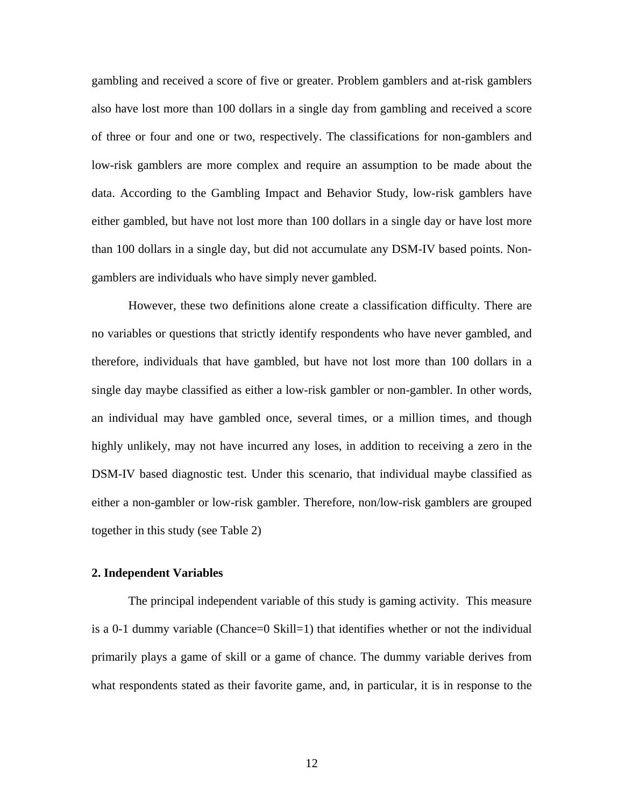gambling and received a score of five or greater. Problem gamblers and at-risk gamblers also have lost more than 100 dollars in a single day from gambling and received a score of three or four and one or two, respectively. The classifications for non-gamblers and low-risk gamblers are more complex and require an assumption to be made about the data. According to the Gambling Impact and Behavior Study, low-risk gamblers have either gambled, but have not lost more than 100 dollars in a single day or have lost more than 100 dollars in a single day, but did not accumulate any DSM-IV based points. Nongamblers are individuals who have simply never gambled.

However, these two definitions alone create a classification difficulty. There are no variables or questions that strictly identify respondents who have never gambled, and therefore, individuals that have gambled, but have not lost more than 100 dollars in a single day maybe classified as either a low-risk gambler or non-gambler. In other words, an individual may have gambled once, several times, or a million times, and though highly unlikely, may not have incurred any loses, in addition to receiving a zero in the DSM-IV based diagnostic test. Under this scenario, that individual maybe classified as either a non-gambler or low-risk gambler. Therefore, non/low-risk gamblers are grouped together in this study (see Table 2)

#### **2. Independent Variables**

The principal independent variable of this study is gaming activity. This measure is a 0-1 dummy variable (Chance=0 Skill=1) that identifies whether or not the individual primarily plays a game of skill or a game of chance. The dummy variable derives from what respondents stated as their favorite game, and, in particular, it is in response to the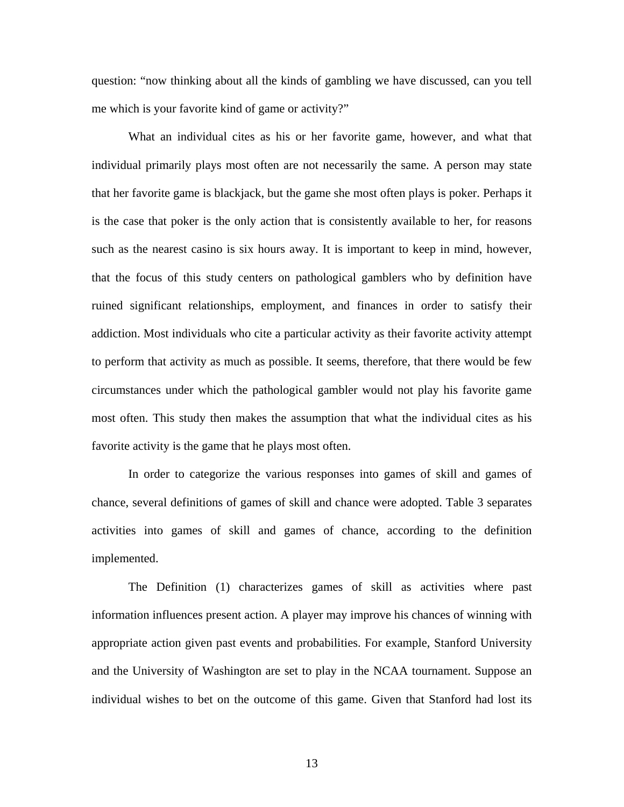question: "now thinking about all the kinds of gambling we have discussed, can you tell me which is your favorite kind of game or activity?"

What an individual cites as his or her favorite game, however, and what that individual primarily plays most often are not necessarily the same. A person may state that her favorite game is blackjack, but the game she most often plays is poker. Perhaps it is the case that poker is the only action that is consistently available to her, for reasons such as the nearest casino is six hours away. It is important to keep in mind, however, that the focus of this study centers on pathological gamblers who by definition have ruined significant relationships, employment, and finances in order to satisfy their addiction. Most individuals who cite a particular activity as their favorite activity attempt to perform that activity as much as possible. It seems, therefore, that there would be few circumstances under which the pathological gambler would not play his favorite game most often. This study then makes the assumption that what the individual cites as his favorite activity is the game that he plays most often.

In order to categorize the various responses into games of skill and games of chance, several definitions of games of skill and chance were adopted. Table 3 separates activities into games of skill and games of chance, according to the definition implemented.

The Definition (1) characterizes games of skill as activities where past information influences present action. A player may improve his chances of winning with appropriate action given past events and probabilities. For example, Stanford University and the University of Washington are set to play in the NCAA tournament. Suppose an individual wishes to bet on the outcome of this game. Given that Stanford had lost its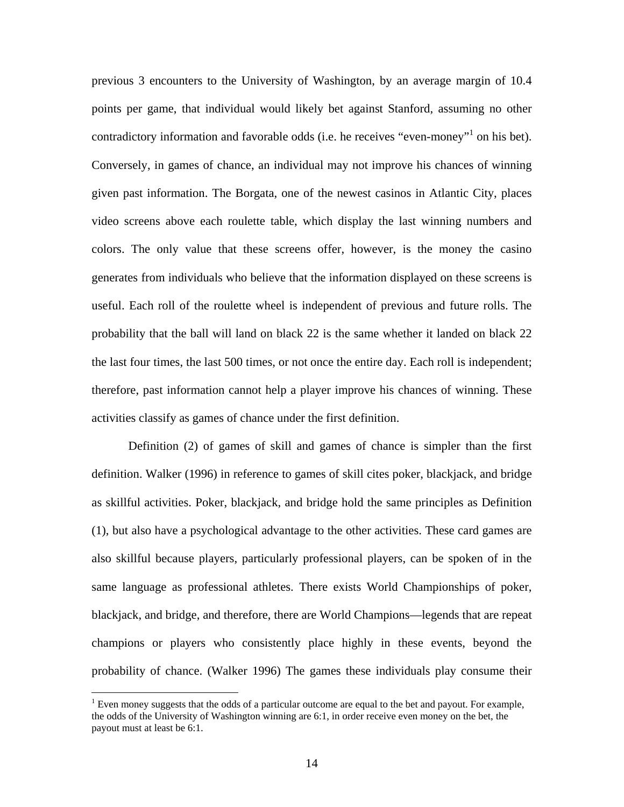previous 3 encounters to the University of Washington, by an average margin of 10.4 points per game, that individual would likely bet against Stanford, assuming no other contradictory information and favorable odds (i.e. he receives "even-money"<sup>1</sup> on his bet). Conversely, in games of chance, an individual may not improve his chances of winning given past information. The Borgata, one of the newest casinos in Atlantic City, places video screens above each roulette table, which display the last winning numbers and colors. The only value that these screens offer, however, is the money the casino generates from individuals who believe that the information displayed on these screens is useful. Each roll of the roulette wheel is independent of previous and future rolls. The probability that the ball will land on black 22 is the same whether it landed on black 22 the last four times, the last 500 times, or not once the entire day. Each roll is independent; therefore, past information cannot help a player improve his chances of winning. These activities classify as games of chance under the first definition.

 Definition (2) of games of skill and games of chance is simpler than the first definition. Walker (1996) in reference to games of skill cites poker, blackjack, and bridge as skillful activities. Poker, blackjack, and bridge hold the same principles as Definition (1), but also have a psychological advantage to the other activities. These card games are also skillful because players, particularly professional players, can be spoken of in the same language as professional athletes. There exists World Championships of poker, blackjack, and bridge, and therefore, there are World Champions—legends that are repeat champions or players who consistently place highly in these events, beyond the probability of chance. (Walker 1996) The games these individuals play consume their

 $\overline{a}$ 

<sup>&</sup>lt;sup>1</sup> Even money suggests that the odds of a particular outcome are equal to the bet and payout. For example, the odds of the University of Washington winning are 6:1, in order receive even money on the bet, the payout must at least be 6:1.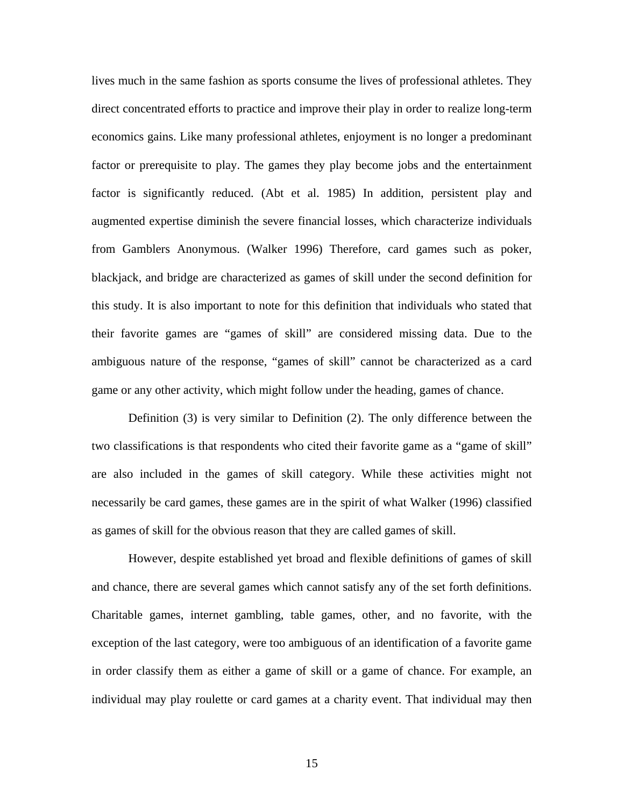lives much in the same fashion as sports consume the lives of professional athletes. They direct concentrated efforts to practice and improve their play in order to realize long-term economics gains. Like many professional athletes, enjoyment is no longer a predominant factor or prerequisite to play. The games they play become jobs and the entertainment factor is significantly reduced. (Abt et al. 1985) In addition, persistent play and augmented expertise diminish the severe financial losses, which characterize individuals from Gamblers Anonymous. (Walker 1996) Therefore, card games such as poker, blackjack, and bridge are characterized as games of skill under the second definition for this study. It is also important to note for this definition that individuals who stated that their favorite games are "games of skill" are considered missing data. Due to the ambiguous nature of the response, "games of skill" cannot be characterized as a card game or any other activity, which might follow under the heading, games of chance.

 Definition (3) is very similar to Definition (2). The only difference between the two classifications is that respondents who cited their favorite game as a "game of skill" are also included in the games of skill category. While these activities might not necessarily be card games, these games are in the spirit of what Walker (1996) classified as games of skill for the obvious reason that they are called games of skill.

 However, despite established yet broad and flexible definitions of games of skill and chance, there are several games which cannot satisfy any of the set forth definitions. Charitable games, internet gambling, table games, other, and no favorite, with the exception of the last category, were too ambiguous of an identification of a favorite game in order classify them as either a game of skill or a game of chance. For example, an individual may play roulette or card games at a charity event. That individual may then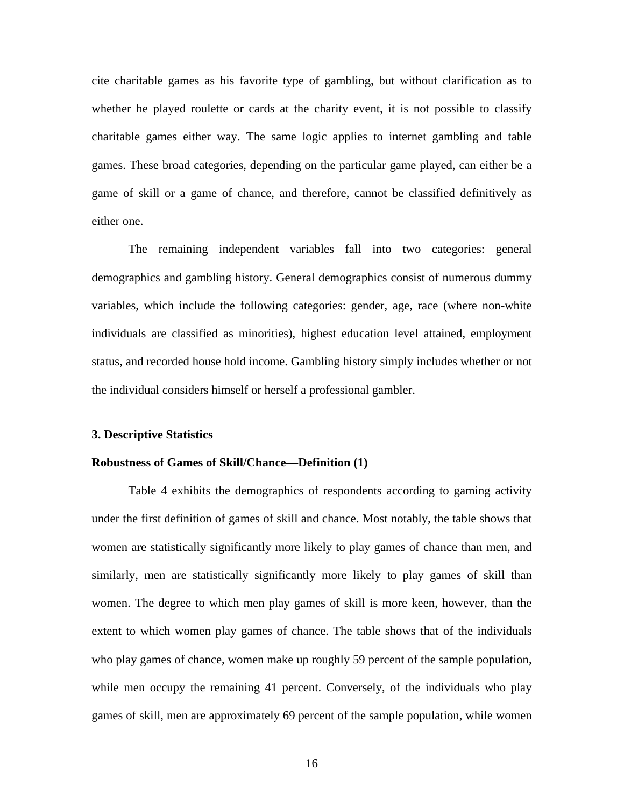cite charitable games as his favorite type of gambling, but without clarification as to whether he played roulette or cards at the charity event, it is not possible to classify charitable games either way. The same logic applies to internet gambling and table games. These broad categories, depending on the particular game played, can either be a game of skill or a game of chance, and therefore, cannot be classified definitively as either one.

 The remaining independent variables fall into two categories: general demographics and gambling history. General demographics consist of numerous dummy variables, which include the following categories: gender, age, race (where non-white individuals are classified as minorities), highest education level attained, employment status, and recorded house hold income. Gambling history simply includes whether or not the individual considers himself or herself a professional gambler.

#### **3. Descriptive Statistics**

#### **Robustness of Games of Skill/Chance—Definition (1)**

 Table 4 exhibits the demographics of respondents according to gaming activity under the first definition of games of skill and chance. Most notably, the table shows that women are statistically significantly more likely to play games of chance than men, and similarly, men are statistically significantly more likely to play games of skill than women. The degree to which men play games of skill is more keen, however, than the extent to which women play games of chance. The table shows that of the individuals who play games of chance, women make up roughly 59 percent of the sample population, while men occupy the remaining 41 percent. Conversely, of the individuals who play games of skill, men are approximately 69 percent of the sample population, while women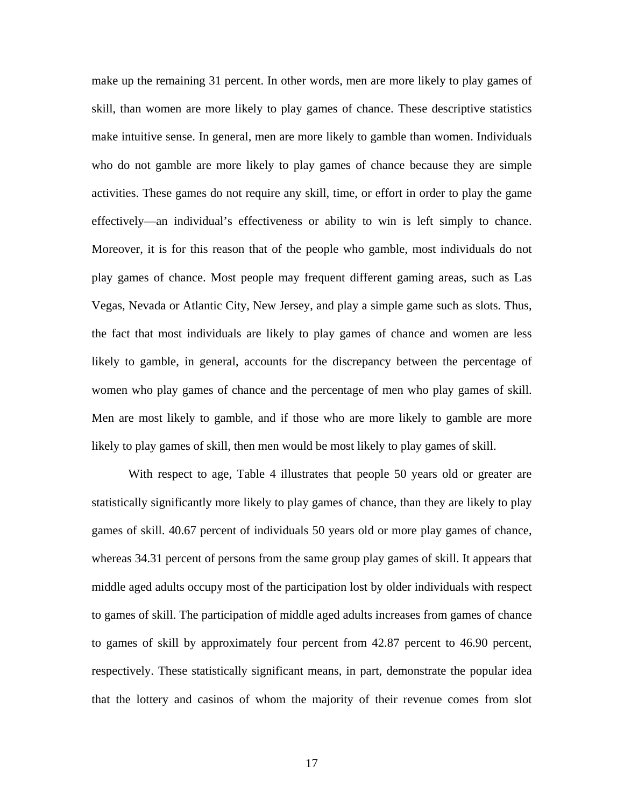make up the remaining 31 percent. In other words, men are more likely to play games of skill, than women are more likely to play games of chance. These descriptive statistics make intuitive sense. In general, men are more likely to gamble than women. Individuals who do not gamble are more likely to play games of chance because they are simple activities. These games do not require any skill, time, or effort in order to play the game effectively—an individual's effectiveness or ability to win is left simply to chance. Moreover, it is for this reason that of the people who gamble, most individuals do not play games of chance. Most people may frequent different gaming areas, such as Las Vegas, Nevada or Atlantic City, New Jersey, and play a simple game such as slots. Thus, the fact that most individuals are likely to play games of chance and women are less likely to gamble, in general, accounts for the discrepancy between the percentage of women who play games of chance and the percentage of men who play games of skill. Men are most likely to gamble, and if those who are more likely to gamble are more likely to play games of skill, then men would be most likely to play games of skill.

With respect to age, Table 4 illustrates that people 50 years old or greater are statistically significantly more likely to play games of chance, than they are likely to play games of skill. 40.67 percent of individuals 50 years old or more play games of chance, whereas 34.31 percent of persons from the same group play games of skill. It appears that middle aged adults occupy most of the participation lost by older individuals with respect to games of skill. The participation of middle aged adults increases from games of chance to games of skill by approximately four percent from 42.87 percent to 46.90 percent, respectively. These statistically significant means, in part, demonstrate the popular idea that the lottery and casinos of whom the majority of their revenue comes from slot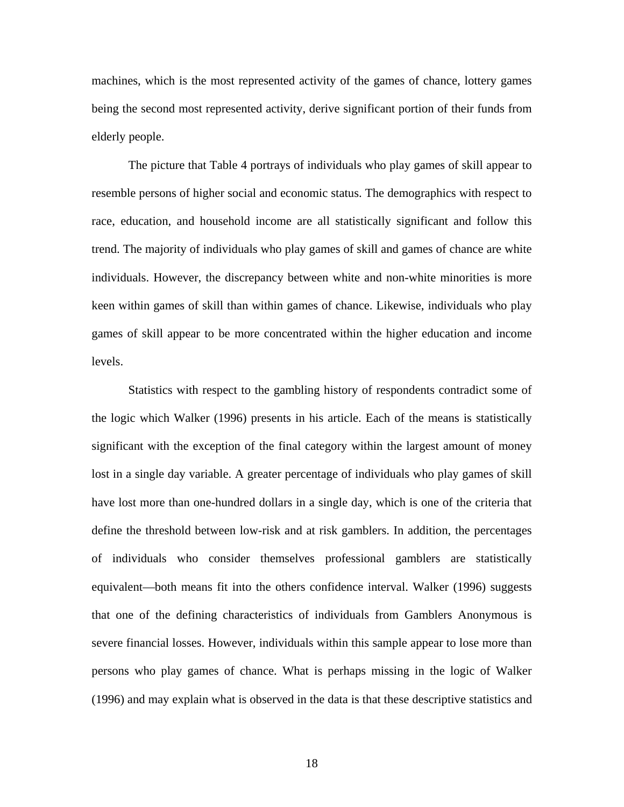machines, which is the most represented activity of the games of chance, lottery games being the second most represented activity, derive significant portion of their funds from elderly people.

 The picture that Table 4 portrays of individuals who play games of skill appear to resemble persons of higher social and economic status. The demographics with respect to race, education, and household income are all statistically significant and follow this trend. The majority of individuals who play games of skill and games of chance are white individuals. However, the discrepancy between white and non-white minorities is more keen within games of skill than within games of chance. Likewise, individuals who play games of skill appear to be more concentrated within the higher education and income levels.

 Statistics with respect to the gambling history of respondents contradict some of the logic which Walker (1996) presents in his article. Each of the means is statistically significant with the exception of the final category within the largest amount of money lost in a single day variable. A greater percentage of individuals who play games of skill have lost more than one-hundred dollars in a single day, which is one of the criteria that define the threshold between low-risk and at risk gamblers. In addition, the percentages of individuals who consider themselves professional gamblers are statistically equivalent—both means fit into the others confidence interval. Walker (1996) suggests that one of the defining characteristics of individuals from Gamblers Anonymous is severe financial losses. However, individuals within this sample appear to lose more than persons who play games of chance. What is perhaps missing in the logic of Walker (1996) and may explain what is observed in the data is that these descriptive statistics and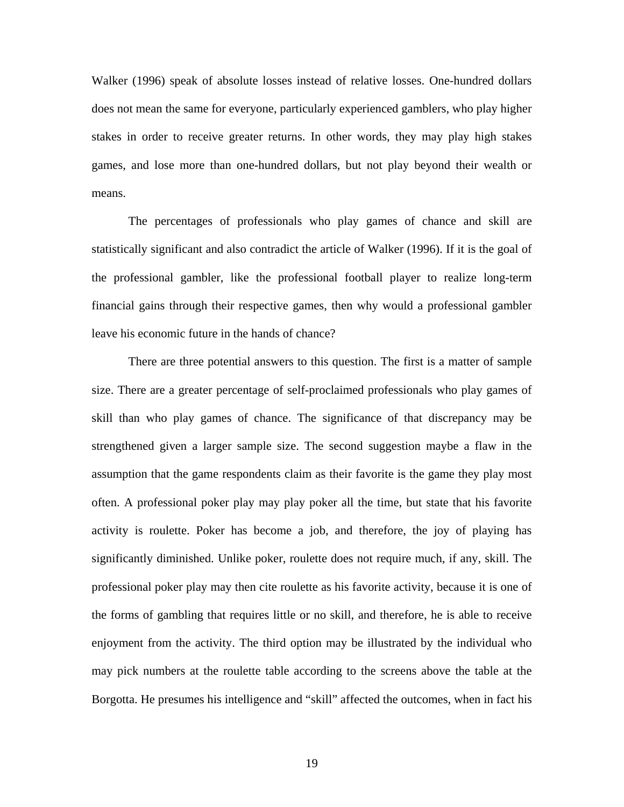Walker (1996) speak of absolute losses instead of relative losses. One-hundred dollars does not mean the same for everyone, particularly experienced gamblers, who play higher stakes in order to receive greater returns. In other words, they may play high stakes games, and lose more than one-hundred dollars, but not play beyond their wealth or means.

The percentages of professionals who play games of chance and skill are statistically significant and also contradict the article of Walker (1996). If it is the goal of the professional gambler, like the professional football player to realize long-term financial gains through their respective games, then why would a professional gambler leave his economic future in the hands of chance?

There are three potential answers to this question. The first is a matter of sample size. There are a greater percentage of self-proclaimed professionals who play games of skill than who play games of chance. The significance of that discrepancy may be strengthened given a larger sample size. The second suggestion maybe a flaw in the assumption that the game respondents claim as their favorite is the game they play most often. A professional poker play may play poker all the time, but state that his favorite activity is roulette. Poker has become a job, and therefore, the joy of playing has significantly diminished. Unlike poker, roulette does not require much, if any, skill. The professional poker play may then cite roulette as his favorite activity, because it is one of the forms of gambling that requires little or no skill, and therefore, he is able to receive enjoyment from the activity. The third option may be illustrated by the individual who may pick numbers at the roulette table according to the screens above the table at the Borgotta. He presumes his intelligence and "skill" affected the outcomes, when in fact his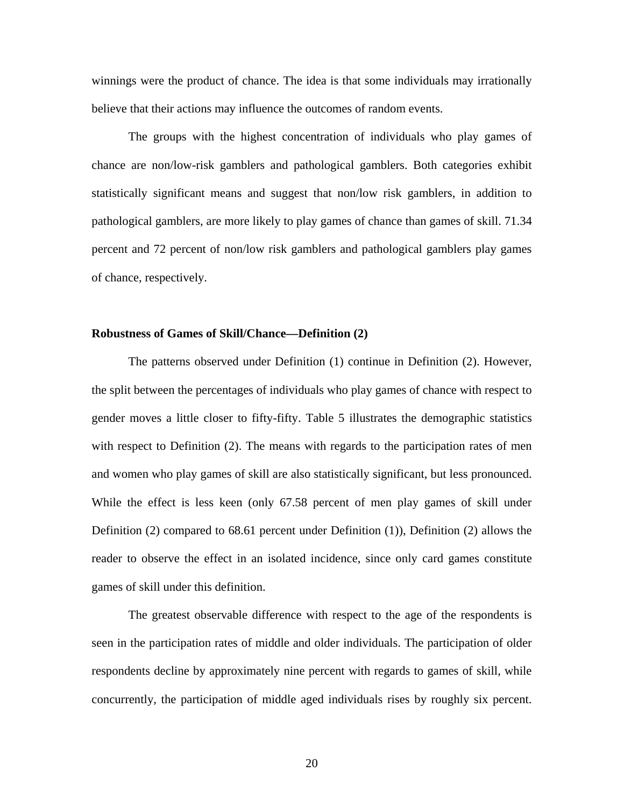winnings were the product of chance. The idea is that some individuals may irrationally believe that their actions may influence the outcomes of random events.

The groups with the highest concentration of individuals who play games of chance are non/low-risk gamblers and pathological gamblers. Both categories exhibit statistically significant means and suggest that non/low risk gamblers, in addition to pathological gamblers, are more likely to play games of chance than games of skill. 71.34 percent and 72 percent of non/low risk gamblers and pathological gamblers play games of chance, respectively.

#### **Robustness of Games of Skill/Chance—Definition (2)**

The patterns observed under Definition (1) continue in Definition (2). However, the split between the percentages of individuals who play games of chance with respect to gender moves a little closer to fifty-fifty. Table 5 illustrates the demographic statistics with respect to Definition (2). The means with regards to the participation rates of men and women who play games of skill are also statistically significant, but less pronounced. While the effect is less keen (only 67.58 percent of men play games of skill under Definition (2) compared to 68.61 percent under Definition (1)), Definition (2) allows the reader to observe the effect in an isolated incidence, since only card games constitute games of skill under this definition.

The greatest observable difference with respect to the age of the respondents is seen in the participation rates of middle and older individuals. The participation of older respondents decline by approximately nine percent with regards to games of skill, while concurrently, the participation of middle aged individuals rises by roughly six percent.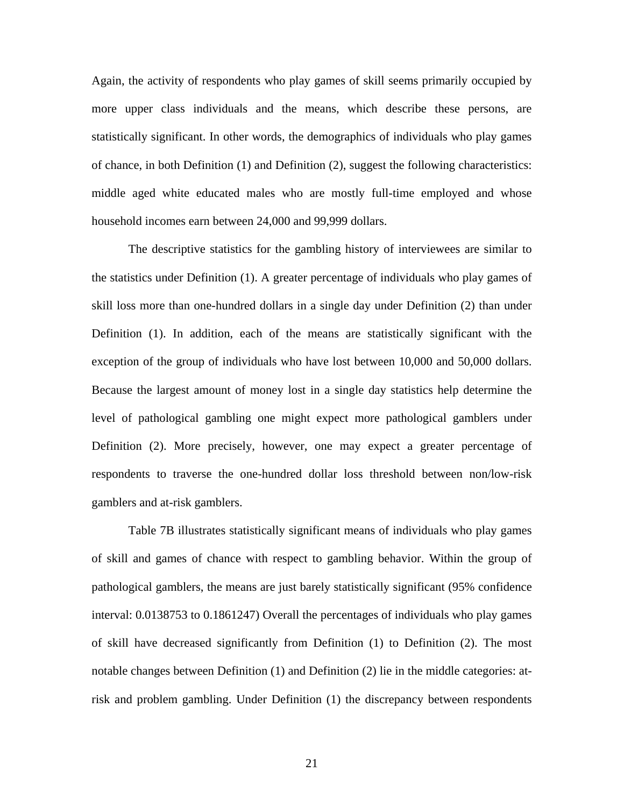Again, the activity of respondents who play games of skill seems primarily occupied by more upper class individuals and the means, which describe these persons, are statistically significant. In other words, the demographics of individuals who play games of chance, in both Definition (1) and Definition (2), suggest the following characteristics: middle aged white educated males who are mostly full-time employed and whose household incomes earn between 24,000 and 99,999 dollars.

The descriptive statistics for the gambling history of interviewees are similar to the statistics under Definition (1). A greater percentage of individuals who play games of skill loss more than one-hundred dollars in a single day under Definition (2) than under Definition (1). In addition, each of the means are statistically significant with the exception of the group of individuals who have lost between 10,000 and 50,000 dollars. Because the largest amount of money lost in a single day statistics help determine the level of pathological gambling one might expect more pathological gamblers under Definition (2). More precisely, however, one may expect a greater percentage of respondents to traverse the one-hundred dollar loss threshold between non/low-risk gamblers and at-risk gamblers.

Table 7B illustrates statistically significant means of individuals who play games of skill and games of chance with respect to gambling behavior. Within the group of pathological gamblers, the means are just barely statistically significant (95% confidence interval: 0.0138753 to 0.1861247) Overall the percentages of individuals who play games of skill have decreased significantly from Definition (1) to Definition (2). The most notable changes between Definition (1) and Definition (2) lie in the middle categories: atrisk and problem gambling. Under Definition (1) the discrepancy between respondents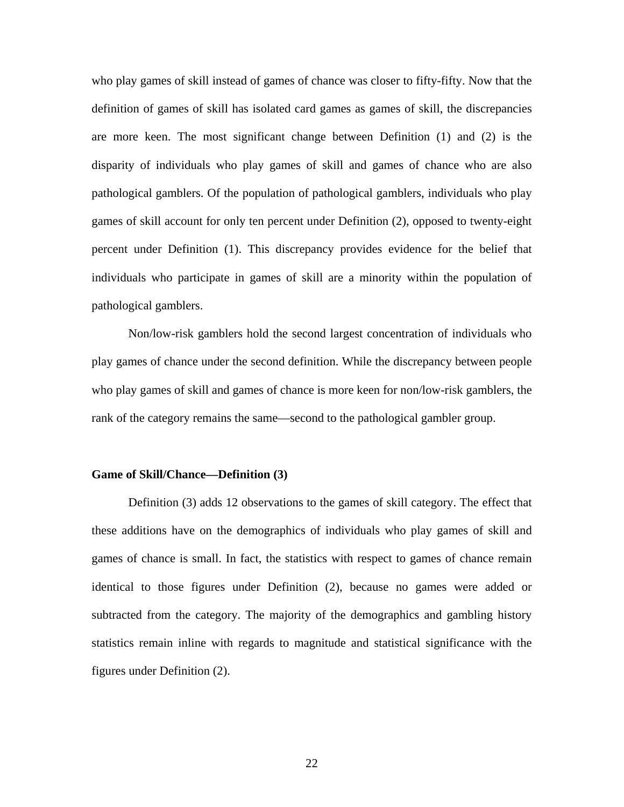who play games of skill instead of games of chance was closer to fifty-fifty. Now that the definition of games of skill has isolated card games as games of skill, the discrepancies are more keen. The most significant change between Definition (1) and (2) is the disparity of individuals who play games of skill and games of chance who are also pathological gamblers. Of the population of pathological gamblers, individuals who play games of skill account for only ten percent under Definition (2), opposed to twenty-eight percent under Definition (1). This discrepancy provides evidence for the belief that individuals who participate in games of skill are a minority within the population of pathological gamblers.

 Non/low-risk gamblers hold the second largest concentration of individuals who play games of chance under the second definition. While the discrepancy between people who play games of skill and games of chance is more keen for non/low-risk gamblers, the rank of the category remains the same—second to the pathological gambler group.

#### **Game of Skill/Chance—Definition (3)**

Definition (3) adds 12 observations to the games of skill category. The effect that these additions have on the demographics of individuals who play games of skill and games of chance is small. In fact, the statistics with respect to games of chance remain identical to those figures under Definition (2), because no games were added or subtracted from the category. The majority of the demographics and gambling history statistics remain inline with regards to magnitude and statistical significance with the figures under Definition (2).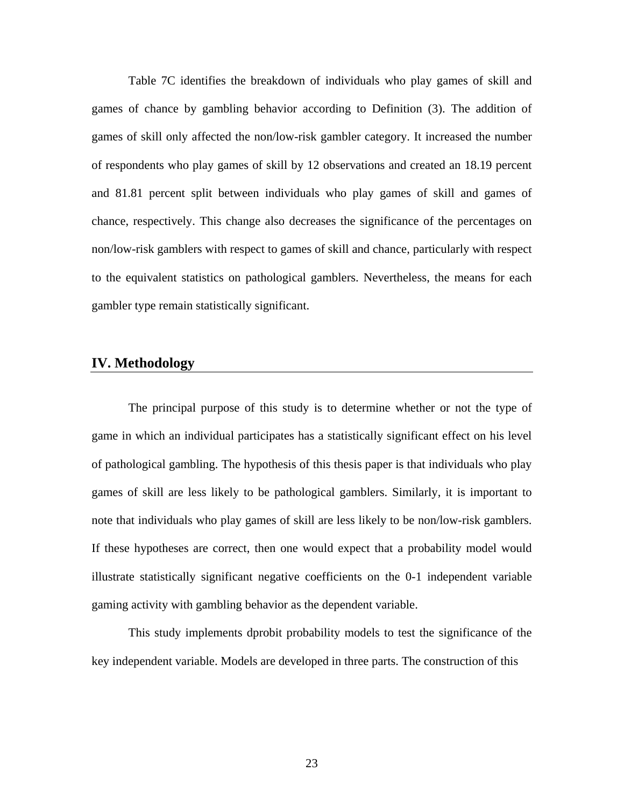Table 7C identifies the breakdown of individuals who play games of skill and games of chance by gambling behavior according to Definition (3). The addition of games of skill only affected the non/low-risk gambler category. It increased the number of respondents who play games of skill by 12 observations and created an 18.19 percent and 81.81 percent split between individuals who play games of skill and games of chance, respectively. This change also decreases the significance of the percentages on non/low-risk gamblers with respect to games of skill and chance, particularly with respect to the equivalent statistics on pathological gamblers. Nevertheless, the means for each gambler type remain statistically significant.

## **IV. Methodology**

The principal purpose of this study is to determine whether or not the type of game in which an individual participates has a statistically significant effect on his level of pathological gambling. The hypothesis of this thesis paper is that individuals who play games of skill are less likely to be pathological gamblers. Similarly, it is important to note that individuals who play games of skill are less likely to be non/low-risk gamblers. If these hypotheses are correct, then one would expect that a probability model would illustrate statistically significant negative coefficients on the 0-1 independent variable gaming activity with gambling behavior as the dependent variable.

 This study implements dprobit probability models to test the significance of the key independent variable. Models are developed in three parts. The construction of this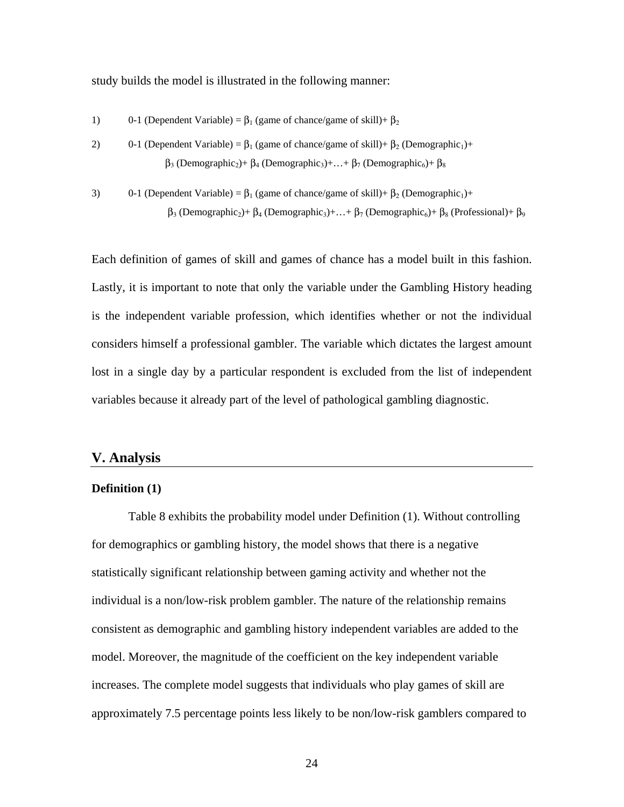study builds the model is illustrated in the following manner:

- 1) 0-1 (Dependent Variable) =  $\beta_1$  (game of chance/game of skill)+  $\beta_2$
- 2) 0-1 (Dependent Variable) =  $\beta_1$  (game of chance/game of skill)+  $\beta_2$  (Demographic<sub>1</sub>)+  $β_3$  (Demographic<sub>2</sub>)+  $β_4$  (Demographic<sub>3</sub>)+...+  $β_7$  (Demographic<sub>6</sub>)+  $β_8$
- 3) 0-1 (Dependent Variable) =  $\beta_1$  (game of chance/game of skill)+  $\beta_2$  (Demographic<sub>1</sub>)+  $β_3$  (Demographic<sub>2</sub>)+  $β_4$  (Demographic<sub>3</sub>)+...+  $β_7$  (Demographic<sub>6</sub>)+  $β_8$  (Professional)+  $β_9$

Each definition of games of skill and games of chance has a model built in this fashion. Lastly, it is important to note that only the variable under the Gambling History heading is the independent variable profession, which identifies whether or not the individual considers himself a professional gambler. The variable which dictates the largest amount lost in a single day by a particular respondent is excluded from the list of independent variables because it already part of the level of pathological gambling diagnostic.

#### **V. Analysis**

#### **Definition (1)**

 Table 8 exhibits the probability model under Definition (1). Without controlling for demographics or gambling history, the model shows that there is a negative statistically significant relationship between gaming activity and whether not the individual is a non/low-risk problem gambler. The nature of the relationship remains consistent as demographic and gambling history independent variables are added to the model. Moreover, the magnitude of the coefficient on the key independent variable increases. The complete model suggests that individuals who play games of skill are approximately 7.5 percentage points less likely to be non/low-risk gamblers compared to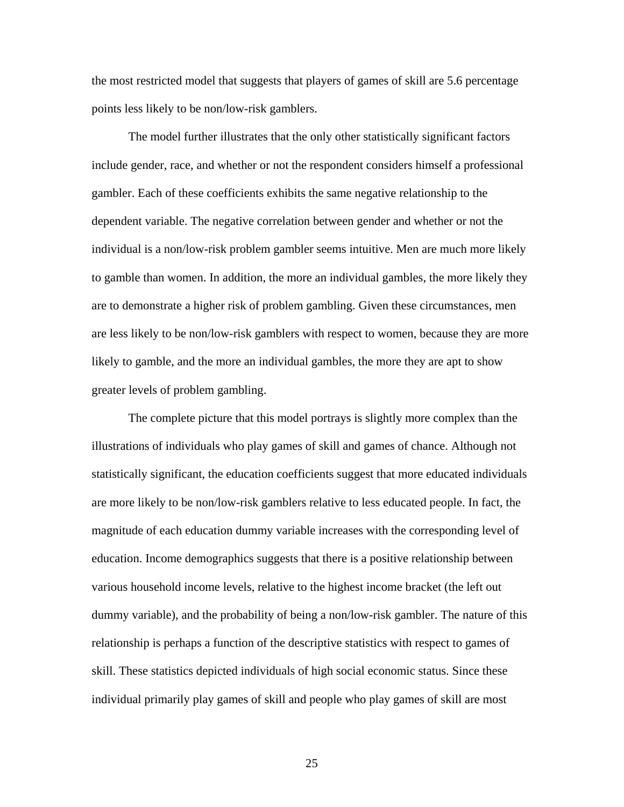the most restricted model that suggests that players of games of skill are 5.6 percentage points less likely to be non/low-risk gamblers.

 The model further illustrates that the only other statistically significant factors include gender, race, and whether or not the respondent considers himself a professional gambler. Each of these coefficients exhibits the same negative relationship to the dependent variable. The negative correlation between gender and whether or not the individual is a non/low-risk problem gambler seems intuitive. Men are much more likely to gamble than women. In addition, the more an individual gambles, the more likely they are to demonstrate a higher risk of problem gambling. Given these circumstances, men are less likely to be non/low-risk gamblers with respect to women, because they are more likely to gamble, and the more an individual gambles, the more they are apt to show greater levels of problem gambling.

 The complete picture that this model portrays is slightly more complex than the illustrations of individuals who play games of skill and games of chance. Although not statistically significant, the education coefficients suggest that more educated individuals are more likely to be non/low-risk gamblers relative to less educated people. In fact, the magnitude of each education dummy variable increases with the corresponding level of education. Income demographics suggests that there is a positive relationship between various household income levels, relative to the highest income bracket (the left out dummy variable), and the probability of being a non/low-risk gambler. The nature of this relationship is perhaps a function of the descriptive statistics with respect to games of skill. These statistics depicted individuals of high social economic status. Since these individual primarily play games of skill and people who play games of skill are most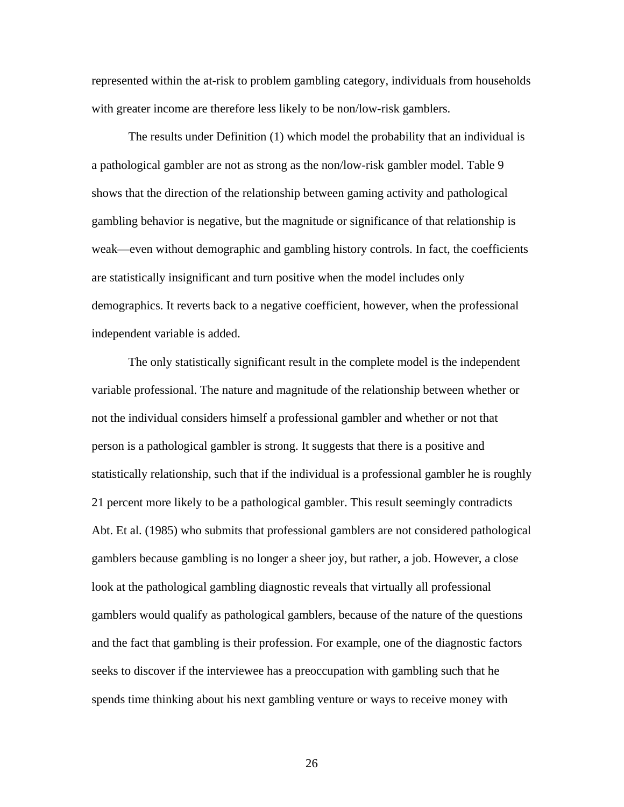represented within the at-risk to problem gambling category, individuals from households with greater income are therefore less likely to be non/low-risk gamblers.

 The results under Definition (1) which model the probability that an individual is a pathological gambler are not as strong as the non/low-risk gambler model. Table 9 shows that the direction of the relationship between gaming activity and pathological gambling behavior is negative, but the magnitude or significance of that relationship is weak—even without demographic and gambling history controls. In fact, the coefficients are statistically insignificant and turn positive when the model includes only demographics. It reverts back to a negative coefficient, however, when the professional independent variable is added.

 The only statistically significant result in the complete model is the independent variable professional. The nature and magnitude of the relationship between whether or not the individual considers himself a professional gambler and whether or not that person is a pathological gambler is strong. It suggests that there is a positive and statistically relationship, such that if the individual is a professional gambler he is roughly 21 percent more likely to be a pathological gambler. This result seemingly contradicts Abt. Et al. (1985) who submits that professional gamblers are not considered pathological gamblers because gambling is no longer a sheer joy, but rather, a job. However, a close look at the pathological gambling diagnostic reveals that virtually all professional gamblers would qualify as pathological gamblers, because of the nature of the questions and the fact that gambling is their profession. For example, one of the diagnostic factors seeks to discover if the interviewee has a preoccupation with gambling such that he spends time thinking about his next gambling venture or ways to receive money with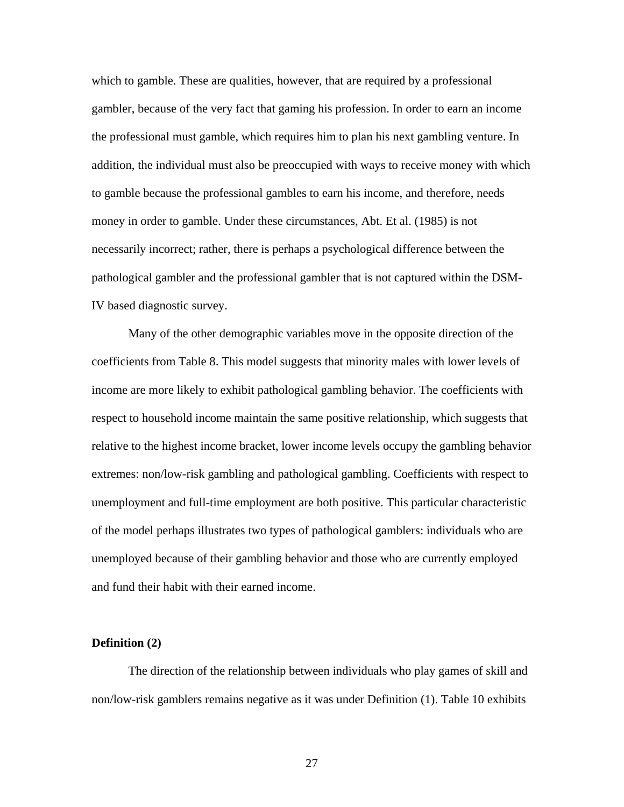which to gamble. These are qualities, however, that are required by a professional gambler, because of the very fact that gaming his profession. In order to earn an income the professional must gamble, which requires him to plan his next gambling venture. In addition, the individual must also be preoccupied with ways to receive money with which to gamble because the professional gambles to earn his income, and therefore, needs money in order to gamble. Under these circumstances, Abt. Et al. (1985) is not necessarily incorrect; rather, there is perhaps a psychological difference between the pathological gambler and the professional gambler that is not captured within the DSM-IV based diagnostic survey.

 Many of the other demographic variables move in the opposite direction of the coefficients from Table 8. This model suggests that minority males with lower levels of income are more likely to exhibit pathological gambling behavior. The coefficients with respect to household income maintain the same positive relationship, which suggests that relative to the highest income bracket, lower income levels occupy the gambling behavior extremes: non/low-risk gambling and pathological gambling. Coefficients with respect to unemployment and full-time employment are both positive. This particular characteristic of the model perhaps illustrates two types of pathological gamblers: individuals who are unemployed because of their gambling behavior and those who are currently employed and fund their habit with their earned income.

#### **Definition (2)**

 The direction of the relationship between individuals who play games of skill and non/low-risk gamblers remains negative as it was under Definition (1). Table 10 exhibits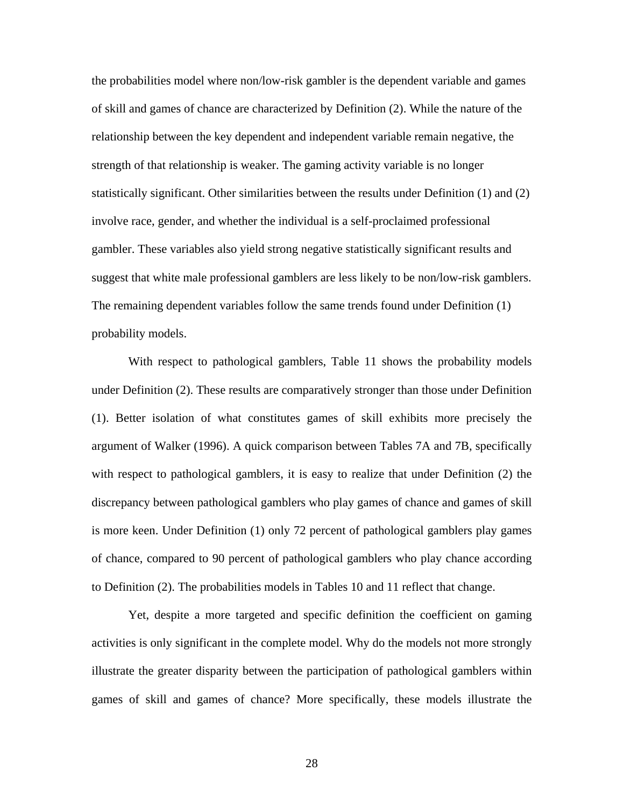the probabilities model where non/low-risk gambler is the dependent variable and games of skill and games of chance are characterized by Definition (2). While the nature of the relationship between the key dependent and independent variable remain negative, the strength of that relationship is weaker. The gaming activity variable is no longer statistically significant. Other similarities between the results under Definition (1) and (2) involve race, gender, and whether the individual is a self-proclaimed professional gambler. These variables also yield strong negative statistically significant results and suggest that white male professional gamblers are less likely to be non/low-risk gamblers. The remaining dependent variables follow the same trends found under Definition (1) probability models.

 With respect to pathological gamblers, Table 11 shows the probability models under Definition (2). These results are comparatively stronger than those under Definition (1). Better isolation of what constitutes games of skill exhibits more precisely the argument of Walker (1996). A quick comparison between Tables 7A and 7B, specifically with respect to pathological gamblers, it is easy to realize that under Definition (2) the discrepancy between pathological gamblers who play games of chance and games of skill is more keen. Under Definition (1) only 72 percent of pathological gamblers play games of chance, compared to 90 percent of pathological gamblers who play chance according to Definition (2). The probabilities models in Tables 10 and 11 reflect that change.

 Yet, despite a more targeted and specific definition the coefficient on gaming activities is only significant in the complete model. Why do the models not more strongly illustrate the greater disparity between the participation of pathological gamblers within games of skill and games of chance? More specifically, these models illustrate the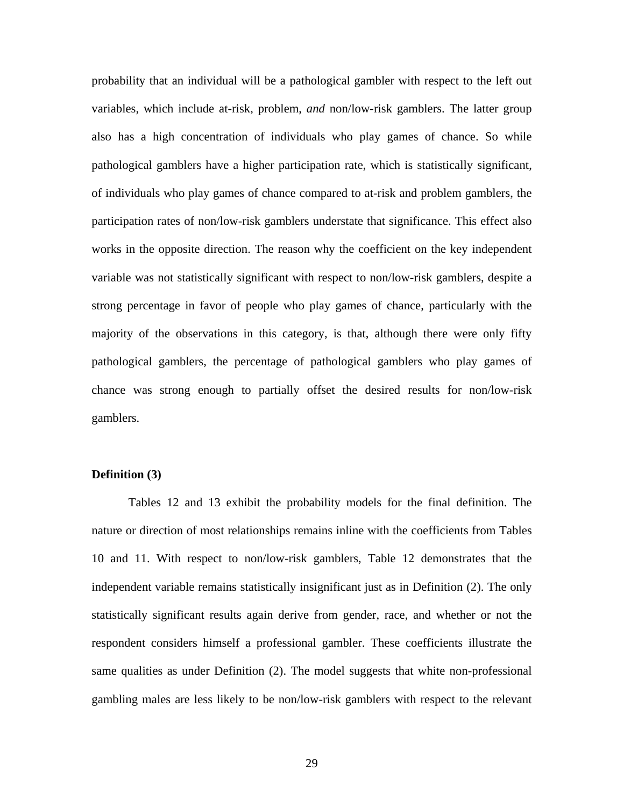probability that an individual will be a pathological gambler with respect to the left out variables, which include at-risk, problem, *and* non/low-risk gamblers. The latter group also has a high concentration of individuals who play games of chance. So while pathological gamblers have a higher participation rate, which is statistically significant, of individuals who play games of chance compared to at-risk and problem gamblers, the participation rates of non/low-risk gamblers understate that significance. This effect also works in the opposite direction. The reason why the coefficient on the key independent variable was not statistically significant with respect to non/low-risk gamblers, despite a strong percentage in favor of people who play games of chance, particularly with the majority of the observations in this category, is that, although there were only fifty pathological gamblers, the percentage of pathological gamblers who play games of chance was strong enough to partially offset the desired results for non/low-risk gamblers.

#### **Definition (3)**

 Tables 12 and 13 exhibit the probability models for the final definition. The nature or direction of most relationships remains inline with the coefficients from Tables 10 and 11. With respect to non/low-risk gamblers, Table 12 demonstrates that the independent variable remains statistically insignificant just as in Definition (2). The only statistically significant results again derive from gender, race, and whether or not the respondent considers himself a professional gambler. These coefficients illustrate the same qualities as under Definition (2). The model suggests that white non-professional gambling males are less likely to be non/low-risk gamblers with respect to the relevant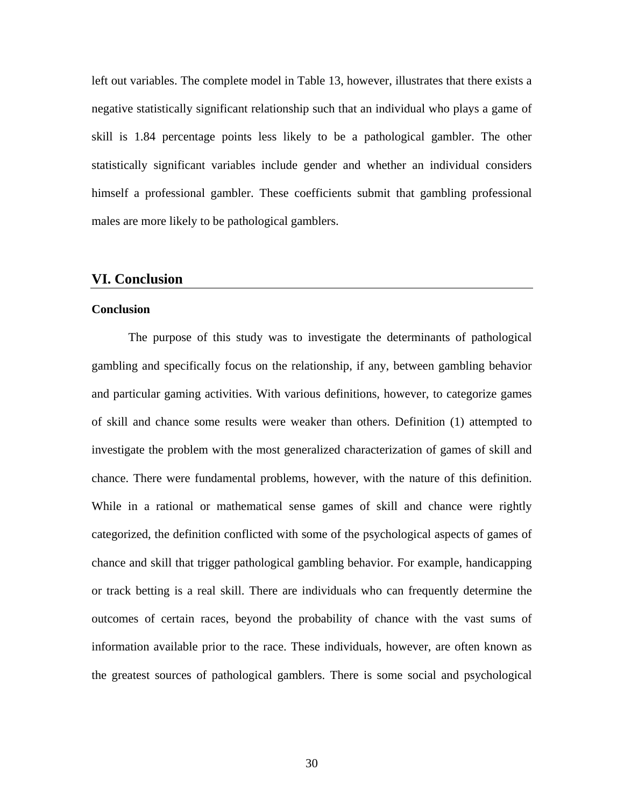left out variables. The complete model in Table 13, however, illustrates that there exists a negative statistically significant relationship such that an individual who plays a game of skill is 1.84 percentage points less likely to be a pathological gambler. The other statistically significant variables include gender and whether an individual considers himself a professional gambler. These coefficients submit that gambling professional males are more likely to be pathological gamblers.

#### **VI. Conclusion**

#### **Conclusion**

 The purpose of this study was to investigate the determinants of pathological gambling and specifically focus on the relationship, if any, between gambling behavior and particular gaming activities. With various definitions, however, to categorize games of skill and chance some results were weaker than others. Definition (1) attempted to investigate the problem with the most generalized characterization of games of skill and chance. There were fundamental problems, however, with the nature of this definition. While in a rational or mathematical sense games of skill and chance were rightly categorized, the definition conflicted with some of the psychological aspects of games of chance and skill that trigger pathological gambling behavior. For example, handicapping or track betting is a real skill. There are individuals who can frequently determine the outcomes of certain races, beyond the probability of chance with the vast sums of information available prior to the race. These individuals, however, are often known as the greatest sources of pathological gamblers. There is some social and psychological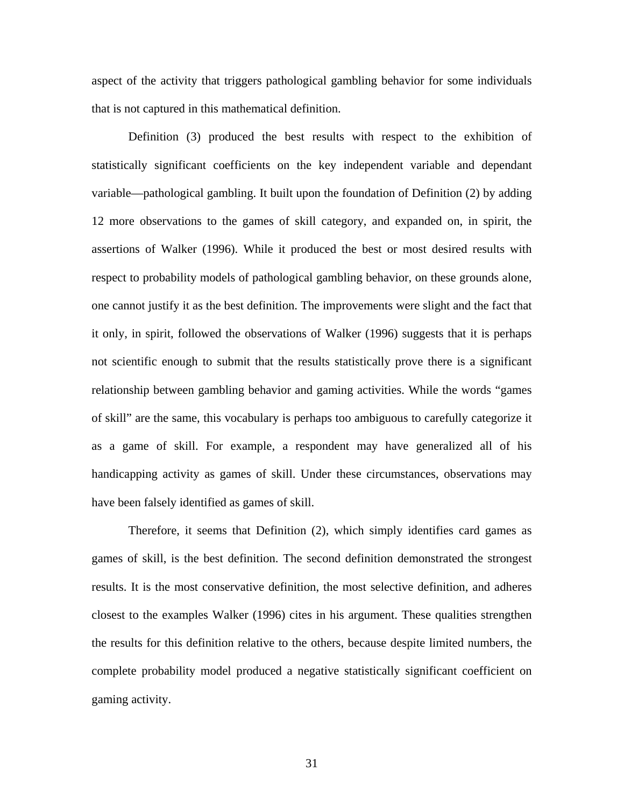aspect of the activity that triggers pathological gambling behavior for some individuals that is not captured in this mathematical definition.

 Definition (3) produced the best results with respect to the exhibition of statistically significant coefficients on the key independent variable and dependant variable—pathological gambling. It built upon the foundation of Definition (2) by adding 12 more observations to the games of skill category, and expanded on, in spirit, the assertions of Walker (1996). While it produced the best or most desired results with respect to probability models of pathological gambling behavior, on these grounds alone, one cannot justify it as the best definition. The improvements were slight and the fact that it only, in spirit, followed the observations of Walker (1996) suggests that it is perhaps not scientific enough to submit that the results statistically prove there is a significant relationship between gambling behavior and gaming activities. While the words "games of skill" are the same, this vocabulary is perhaps too ambiguous to carefully categorize it as a game of skill. For example, a respondent may have generalized all of his handicapping activity as games of skill. Under these circumstances, observations may have been falsely identified as games of skill.

 Therefore, it seems that Definition (2), which simply identifies card games as games of skill, is the best definition. The second definition demonstrated the strongest results. It is the most conservative definition, the most selective definition, and adheres closest to the examples Walker (1996) cites in his argument. These qualities strengthen the results for this definition relative to the others, because despite limited numbers, the complete probability model produced a negative statistically significant coefficient on gaming activity.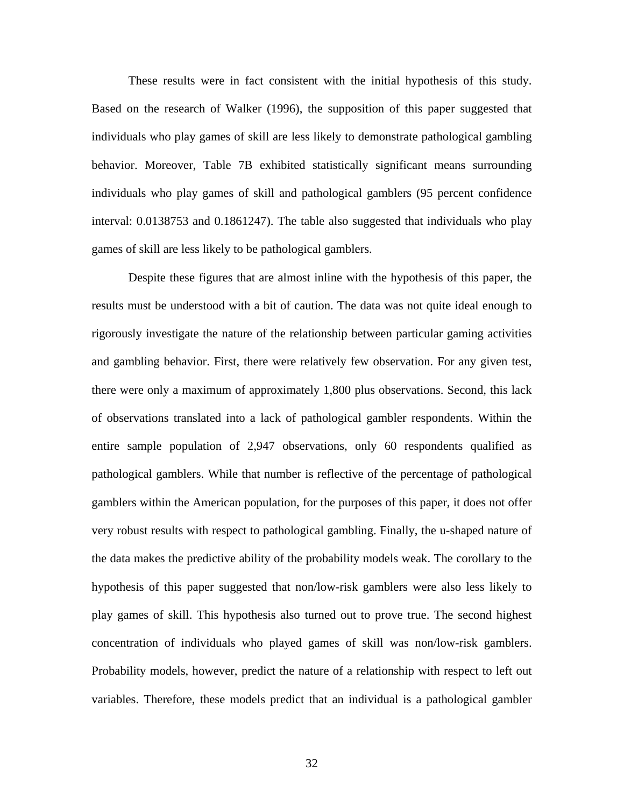These results were in fact consistent with the initial hypothesis of this study. Based on the research of Walker (1996), the supposition of this paper suggested that individuals who play games of skill are less likely to demonstrate pathological gambling behavior. Moreover, Table 7B exhibited statistically significant means surrounding individuals who play games of skill and pathological gamblers (95 percent confidence interval: 0.0138753 and 0.1861247). The table also suggested that individuals who play games of skill are less likely to be pathological gamblers.

 Despite these figures that are almost inline with the hypothesis of this paper, the results must be understood with a bit of caution. The data was not quite ideal enough to rigorously investigate the nature of the relationship between particular gaming activities and gambling behavior. First, there were relatively few observation. For any given test, there were only a maximum of approximately 1,800 plus observations. Second, this lack of observations translated into a lack of pathological gambler respondents. Within the entire sample population of 2,947 observations, only 60 respondents qualified as pathological gamblers. While that number is reflective of the percentage of pathological gamblers within the American population, for the purposes of this paper, it does not offer very robust results with respect to pathological gambling. Finally, the u-shaped nature of the data makes the predictive ability of the probability models weak. The corollary to the hypothesis of this paper suggested that non/low-risk gamblers were also less likely to play games of skill. This hypothesis also turned out to prove true. The second highest concentration of individuals who played games of skill was non/low-risk gamblers. Probability models, however, predict the nature of a relationship with respect to left out variables. Therefore, these models predict that an individual is a pathological gambler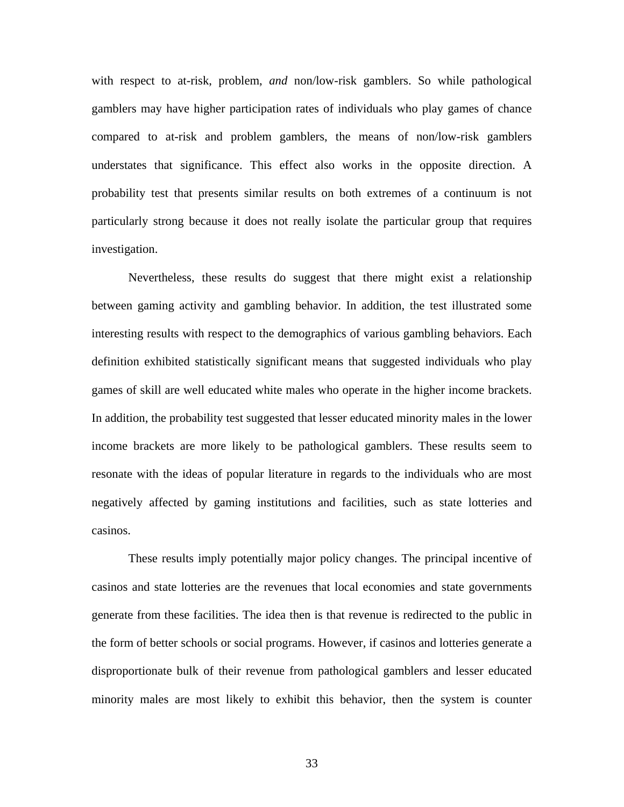with respect to at-risk, problem, *and* non/low-risk gamblers. So while pathological gamblers may have higher participation rates of individuals who play games of chance compared to at-risk and problem gamblers, the means of non/low-risk gamblers understates that significance. This effect also works in the opposite direction. A probability test that presents similar results on both extremes of a continuum is not particularly strong because it does not really isolate the particular group that requires investigation.

 Nevertheless, these results do suggest that there might exist a relationship between gaming activity and gambling behavior. In addition, the test illustrated some interesting results with respect to the demographics of various gambling behaviors. Each definition exhibited statistically significant means that suggested individuals who play games of skill are well educated white males who operate in the higher income brackets. In addition, the probability test suggested that lesser educated minority males in the lower income brackets are more likely to be pathological gamblers. These results seem to resonate with the ideas of popular literature in regards to the individuals who are most negatively affected by gaming institutions and facilities, such as state lotteries and casinos.

 These results imply potentially major policy changes. The principal incentive of casinos and state lotteries are the revenues that local economies and state governments generate from these facilities. The idea then is that revenue is redirected to the public in the form of better schools or social programs. However, if casinos and lotteries generate a disproportionate bulk of their revenue from pathological gamblers and lesser educated minority males are most likely to exhibit this behavior, then the system is counter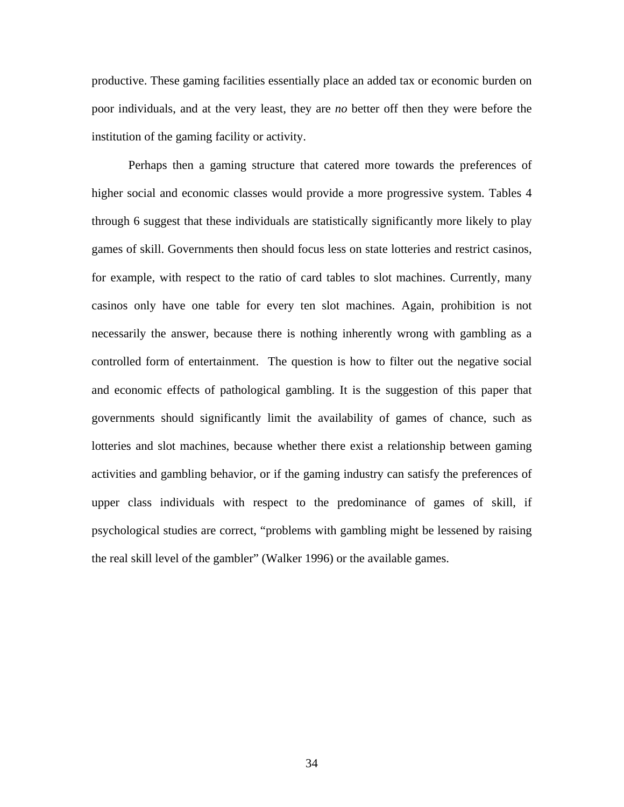productive. These gaming facilities essentially place an added tax or economic burden on poor individuals, and at the very least, they are *no* better off then they were before the institution of the gaming facility or activity.

 Perhaps then a gaming structure that catered more towards the preferences of higher social and economic classes would provide a more progressive system. Tables 4 through 6 suggest that these individuals are statistically significantly more likely to play games of skill. Governments then should focus less on state lotteries and restrict casinos, for example, with respect to the ratio of card tables to slot machines. Currently, many casinos only have one table for every ten slot machines. Again, prohibition is not necessarily the answer, because there is nothing inherently wrong with gambling as a controlled form of entertainment. The question is how to filter out the negative social and economic effects of pathological gambling. It is the suggestion of this paper that governments should significantly limit the availability of games of chance, such as lotteries and slot machines, because whether there exist a relationship between gaming activities and gambling behavior, or if the gaming industry can satisfy the preferences of upper class individuals with respect to the predominance of games of skill, if psychological studies are correct, "problems with gambling might be lessened by raising the real skill level of the gambler" (Walker 1996) or the available games.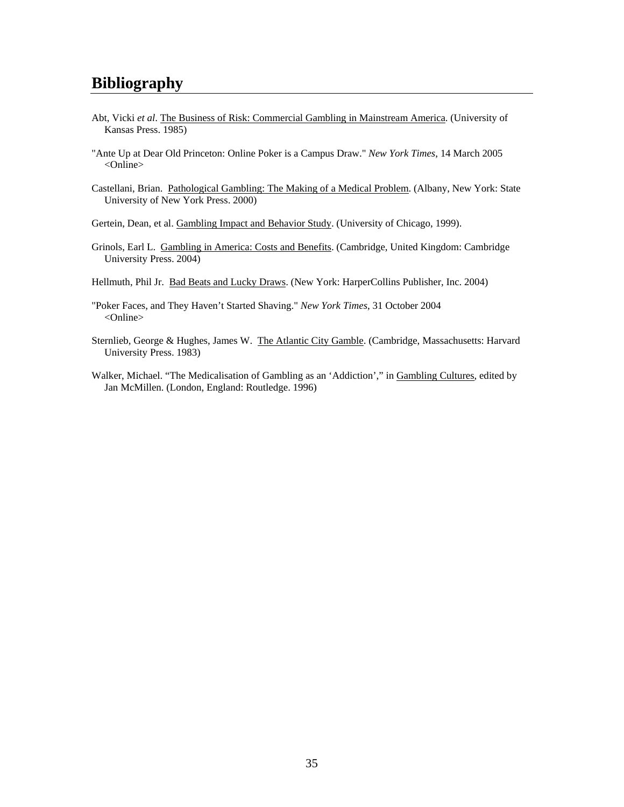- Abt, Vicki *et al*. The Business of Risk: Commercial Gambling in Mainstream America. (University of Kansas Press. 1985)
- "Ante Up at Dear Old Princeton: Online Poker is a Campus Draw." *New York Times*, 14 March 2005 <Online>
- Castellani, Brian. Pathological Gambling: The Making of a Medical Problem. (Albany, New York: State University of New York Press. 2000)

Gertein, Dean, et al. Gambling Impact and Behavior Study. (University of Chicago, 1999).

- Grinols, Earl L. Gambling in America: Costs and Benefits. (Cambridge, United Kingdom: Cambridge University Press. 2004)
- Hellmuth, Phil Jr. Bad Beats and Lucky Draws. (New York: HarperCollins Publisher, Inc. 2004)
- "Poker Faces, and They Haven't Started Shaving." *New York Times*, 31 October 2004 <Online>
- Sternlieb, George & Hughes, James W. The Atlantic City Gamble. (Cambridge, Massachusetts: Harvard University Press. 1983)
- Walker, Michael. "The Medicalisation of Gambling as an 'Addiction'," in Gambling Cultures, edited by Jan McMillen. (London, England: Routledge. 1996)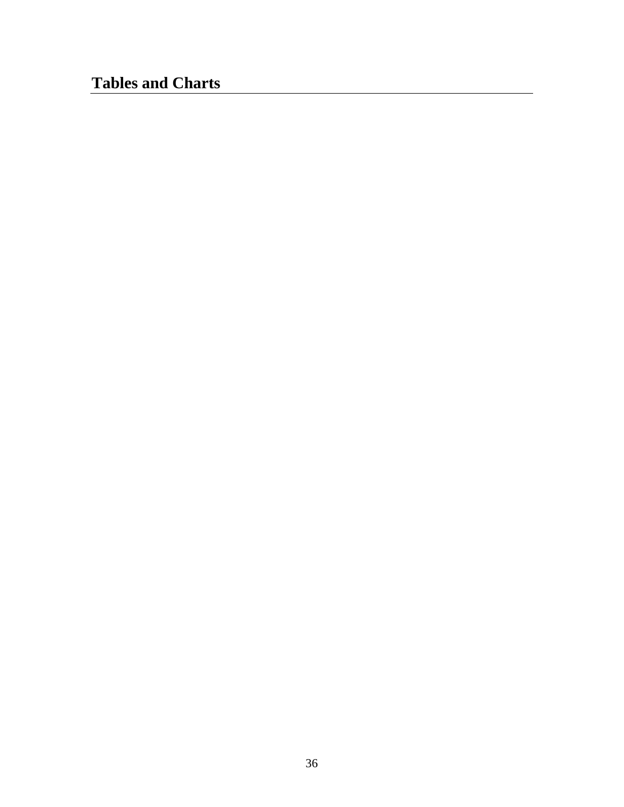# **Tables and Charts**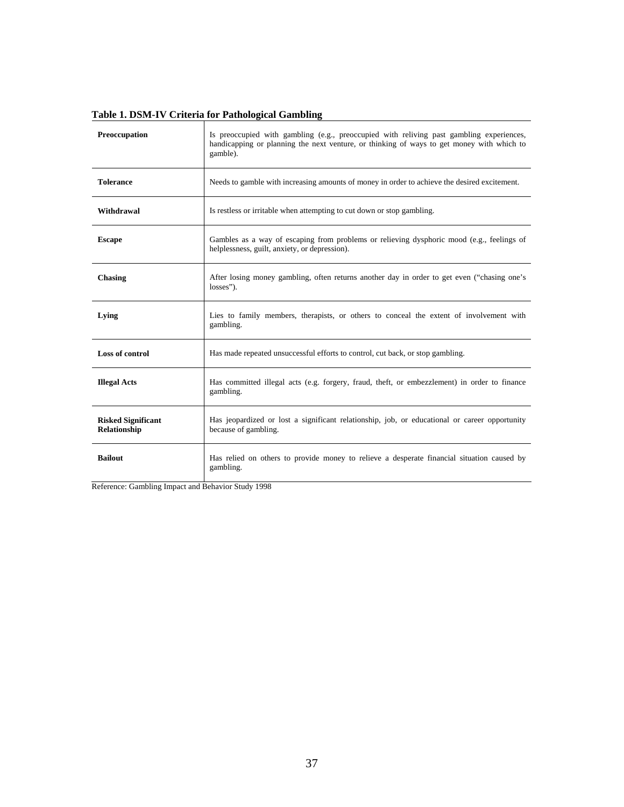| Preoccupation                             | Is preoccupied with gambling (e.g., preoccupied with reliving past gambling experiences,<br>handicapping or planning the next venture, or thinking of ways to get money with which to<br>gamble). |
|-------------------------------------------|---------------------------------------------------------------------------------------------------------------------------------------------------------------------------------------------------|
| <b>Tolerance</b>                          | Needs to gamble with increasing amounts of money in order to achieve the desired excitement.                                                                                                      |
| Withdrawal                                | Is restless or irritable when attempting to cut down or stop gambling.                                                                                                                            |
| <b>Escape</b>                             | Gambles as a way of escaping from problems or relieving dysphoric mood (e.g., feelings of<br>helplessness, guilt, anxiety, or depression).                                                        |
| <b>Chasing</b>                            | After losing money gambling, often returns another day in order to get even ("chasing one's<br>losses").                                                                                          |
| Lying                                     | Lies to family members, therapists, or others to conceal the extent of involvement with<br>gambling.                                                                                              |
| <b>Loss of control</b>                    | Has made repeated unsuccessful efforts to control, cut back, or stop gambling.                                                                                                                    |
| <b>Illegal Acts</b>                       | Has committed illegal acts (e.g. forgery, fraud, theft, or embezzlement) in order to finance<br>gambling.                                                                                         |
| <b>Risked Significant</b><br>Relationship | Has jeopardized or lost a significant relationship, job, or educational or career opportunity<br>because of gambling.                                                                             |
| <b>Bailout</b>                            | Has relied on others to provide money to relieve a desperate financial situation caused by<br>gambling.                                                                                           |

# **Table 1. DSM-IV Criteria for Pathological Gambling**

Reference: Gambling Impact and Behavior Study 1998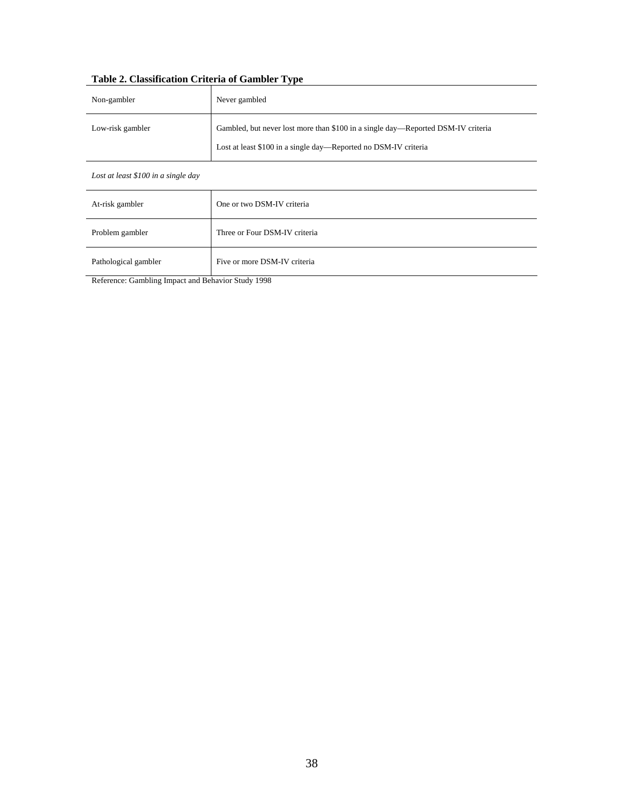# **Table 2. Classification Criteria of Gambler Type**

| Non-gambler      | Never gambled                                                                    |
|------------------|----------------------------------------------------------------------------------|
| Low-risk gambler | Gambled, but never lost more than \$100 in a single day—Reported DSM-IV criteria |
|                  | Lost at least \$100 in a single day—Reported no DSM-IV criteria                  |

#### *Lost at least \$100 in a single day*

| One or two DSM-IV criteria    |
|-------------------------------|
| Three or Four DSM-IV criteria |
| Five or more DSM-IV criteria  |
|                               |

Reference: Gambling Impact and Behavior Study 1998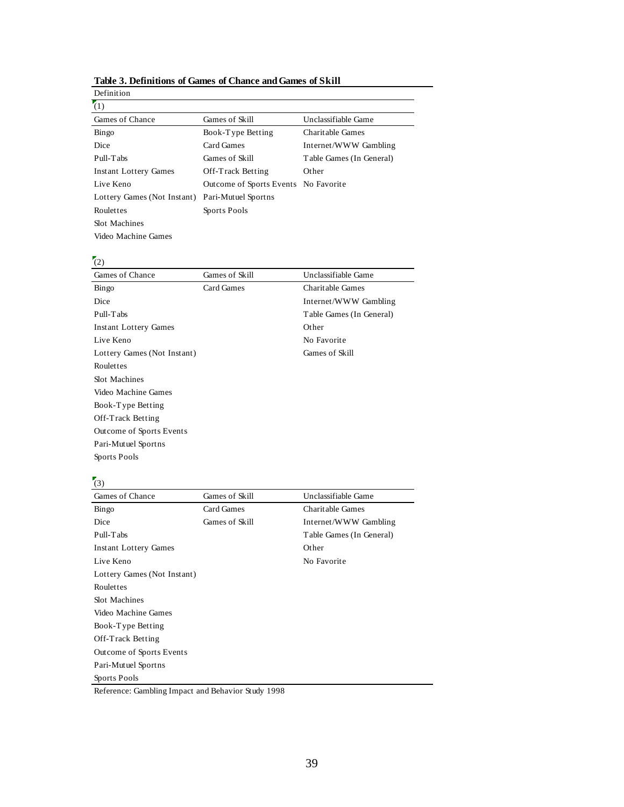| Definition                  |                                      |                          |
|-----------------------------|--------------------------------------|--------------------------|
| (1)                         |                                      |                          |
| Games of Chance             | Games of Skill                       | Unclassifiable Game      |
| Bingo                       | Book-Type Betting                    | Charitable Games         |
| Dice                        | Card Games                           | Internet/WWW Gambling    |
| Pull-Tabs                   | Games of Skill                       | Table Games (In General) |
| Instant Lottery Games       | Off-Track Betting                    | Other                    |
| Live Keno                   | Outcome of Sports Events No Favorite |                          |
| Lottery Games (Not Instant) | Pari-Mutuel Sportns                  |                          |
| Roulettes                   | Sports Pools                         |                          |
| Slot Machines               |                                      |                          |
| Video Machine Games         |                                      |                          |

#### **Table 3. Definitions of Games of Chance and Games of Skill**

# $(2)$

| Games of Chance              | Games of Skill | Unclassifiable Game      |
|------------------------------|----------------|--------------------------|
| Bingo                        | Card Games     | Charitable Games         |
| Dice                         |                | Internet/WWW Gambling    |
| Pull-Tabs                    |                | Table Games (In General) |
| <b>Instant Lottery Games</b> |                | Other                    |
| Live Keno                    |                | No Favorite              |
| Lottery Games (Not Instant)  |                | Games of Skill           |
| Roulettes                    |                |                          |
| Slot Machines                |                |                          |
| Video Machine Games          |                |                          |
| Book-Type Betting            |                |                          |
| Off-Track Betting            |                |                          |
| Outcome of Sports Events     |                |                          |
| Pari-Mutuel Sportns          |                |                          |
| Sports Pools                 |                |                          |

# $\sqrt{3}$

| $\sim$                       |                |                          |
|------------------------------|----------------|--------------------------|
| Games of Chance              | Games of Skill | Unclassifiable Game      |
| Bingo                        | Card Games     | Charitable Games         |
| Dice                         | Games of Skill | Internet/WWW Gambling    |
| Pull-Tabs                    |                | Table Games (In General) |
| <b>Instant Lottery Games</b> |                | Other                    |
| Live Keno                    |                | No Favorite              |
| Lottery Games (Not Instant)  |                |                          |
| Roulettes                    |                |                          |
| <b>Slot Machines</b>         |                |                          |
| Video Machine Games          |                |                          |
| Book-Type Betting            |                |                          |
| Off-Track Betting            |                |                          |
| Outcome of Sports Events     |                |                          |
| Pari-Mutuel Sportns          |                |                          |
| Sports Pools                 |                |                          |
|                              |                |                          |

Reference: Gambling Impact and Behavior Study 1998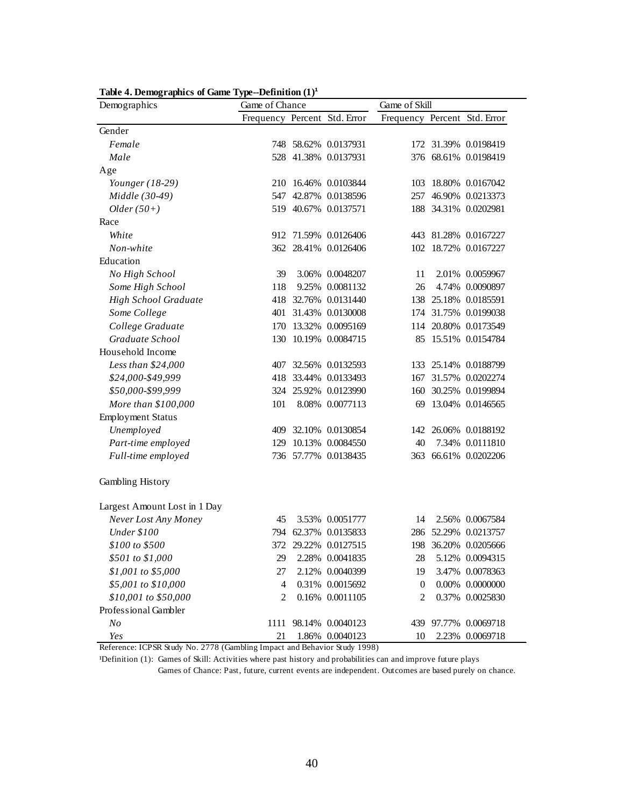| Demographics                 | Game of Chance               |        |                      | Game of Skill                |        |                      |  |  |
|------------------------------|------------------------------|--------|----------------------|------------------------------|--------|----------------------|--|--|
|                              | Frequency Percent Std. Error |        |                      | Frequency Percent Std. Error |        |                      |  |  |
| Gender                       |                              |        |                      |                              |        |                      |  |  |
| Female                       |                              |        | 748 58.62% 0.0137931 |                              |        | 172 31.39% 0.0198419 |  |  |
| Male                         |                              |        | 528 41.38% 0.0137931 |                              |        | 376 68.61% 0.0198419 |  |  |
| Age                          |                              |        |                      |                              |        |                      |  |  |
| Younger (18-29)              |                              |        | 210 16.46% 0.0103844 | 103                          |        | 18.80% 0.0167042     |  |  |
| Middle (30-49)               | 547                          |        | 42.87% 0.0138596     | 257                          |        | 46.90% 0.0213373     |  |  |
| $Older(50+)$                 |                              |        | 519 40.67% 0.0137571 |                              |        | 188 34.31% 0.0202981 |  |  |
| Race                         |                              |        |                      |                              |        |                      |  |  |
| White                        |                              |        | 912 71.59% 0.0126406 |                              |        | 443 81.28% 0.0167227 |  |  |
| Non-white                    |                              |        | 362 28.41% 0.0126406 |                              |        | 102 18.72% 0.0167227 |  |  |
| Education                    |                              |        |                      |                              |        |                      |  |  |
| No High School               | 39                           |        | 3.06% 0.0048207      | 11                           |        | 2.01% 0.0059967      |  |  |
| Some High School             | 118                          |        | 9.25% 0.0081132      | 26                           | 4.74%  | 0.0090897            |  |  |
| <b>High School Graduate</b>  | 418                          |        | 32.76% 0.0131440     | 138                          | 25.18% | 0.0185591            |  |  |
| Some College                 | 401                          |        | 31.43% 0.0130008     | 174                          |        | 31.75% 0.0199038     |  |  |
| College Graduate             | 170                          |        | 13.32% 0.0095169     |                              |        | 114 20.80% 0.0173549 |  |  |
| Graduate School              | 130                          |        | 10.19% 0.0084715     | 85                           |        | 15.51% 0.0154784     |  |  |
| Household Income             |                              |        |                      |                              |        |                      |  |  |
| Less than \$24,000           | 407                          |        | 32.56% 0.0132593     | 133                          |        | 25.14% 0.0188799     |  |  |
| \$24,000-\$49,999            | 418                          |        | 33.44% 0.0133493     | 167                          | 31.57% | 0.0202274            |  |  |
| \$50,000-\$99,999            | 324                          |        | 25.92% 0.0123990     | 160                          |        | 30.25% 0.0199894     |  |  |
| More than \$100,000          | 101                          |        | 8.08% 0.0077113      | 69                           |        | 13.04% 0.0146565     |  |  |
| <b>Employment Status</b>     |                              |        |                      |                              |        |                      |  |  |
| Unemployed                   | 409                          |        | 32.10% 0.0130854     |                              |        | 142 26.06% 0.0188192 |  |  |
| Part-time employed           | 129                          |        | 10.13% 0.0084550     | 40                           |        | 7.34% 0.0111810      |  |  |
| Full-time employed           |                              |        | 736 57.77% 0.0138435 | 363                          |        | 66.61% 0.0202206     |  |  |
| Gambling History             |                              |        |                      |                              |        |                      |  |  |
| Largest Amount Lost in 1 Day |                              |        |                      |                              |        |                      |  |  |
| Never Lost Any Money         | 45                           |        | 3.53% 0.0051777      | 14                           |        | 2.56% 0.0067584      |  |  |
| Under \$100                  | 794                          | 62.37% | 0.0135833            | 286                          | 52.29% | 0.0213757            |  |  |
| \$100 to \$500               |                              |        | 372 29.22% 0.0127515 | 198                          |        | 36.20% 0.0205666     |  |  |
| \$501 to \$1,000             | 29                           |        | 2.28% 0.0041835      | 28                           |        | 5.12% 0.0094315      |  |  |
| \$1,001 to \$5,000           | 27                           |        | 2.12% 0.0040399      | 19                           |        | 3.47% 0.0078363      |  |  |
| \$5,001 to \$10,000          | 4                            |        | 0.31% 0.0015692      | $\mathbf{0}$                 |        | $0.00\%$ 0.0000000   |  |  |
| \$10,001 to \$50,000         | 2                            |        | 0.16% 0.0011105      | 2                            |        | 0.37% 0.0025830      |  |  |
| Professional Gambler         |                              |        |                      |                              |        |                      |  |  |
| N <sub>O</sub>               | 1111                         |        | 98.14% 0.0040123     |                              |        | 439 97.77% 0.0069718 |  |  |
| Yes<br>2770/0                | 21                           |        | 1.86% 0.0040123      | 10                           |        | 2.23% 0.0069718      |  |  |

Table 4. Demographics of Game Type--Definition  $(1)^1$ 

<sup>1</sup>Definition (1): Games of Skill: Activities where past history and probabilities can and improve future plays

Games of Chance: Past, future, current events are independent. Outcomes are based purely on chance.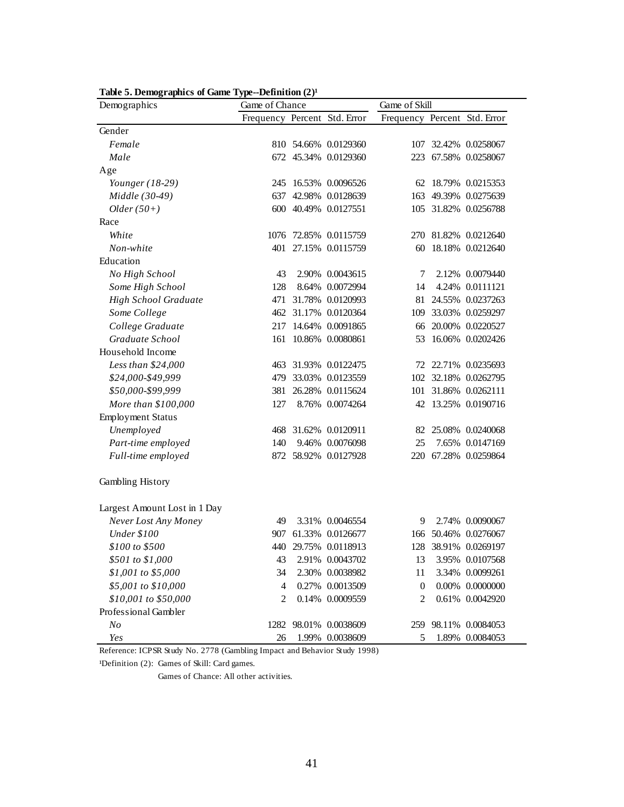| Tube of Demographies of Game Type<br>Demographics | $P$ cannuon $\left($ =/<br>Game of Chance |       | Game of Skill         |                              |  |                      |  |
|---------------------------------------------------|-------------------------------------------|-------|-----------------------|------------------------------|--|----------------------|--|
|                                                   | Frequency Percent Std. Error              |       |                       | Frequency Percent Std. Error |  |                      |  |
| Gender                                            |                                           |       |                       |                              |  |                      |  |
| Female                                            |                                           |       | 810 54.66% 0.0129360  |                              |  | 107 32.42% 0.0258067 |  |
| Male                                              |                                           |       | 672 45.34% 0.0129360  |                              |  | 223 67.58% 0.0258067 |  |
| Age                                               |                                           |       |                       |                              |  |                      |  |
| Younger $(18-29)$                                 |                                           |       | 245 16.53% 0.0096526  |                              |  | 62 18.79% 0.0215353  |  |
| Middle (30-49)                                    | 637                                       |       | 42.98% 0.0128639      | 163                          |  | 49.39% 0.0275639     |  |
| $Older(50+)$                                      |                                           |       | 600 40.49% 0.0127551  |                              |  | 105 31.82% 0.0256788 |  |
| Race                                              |                                           |       |                       |                              |  |                      |  |
| White                                             |                                           |       | 1076 72.85% 0.0115759 |                              |  | 270 81.82% 0.0212640 |  |
| Non-white                                         |                                           |       | 401 27.15% 0.0115759  | 60                           |  | 18.18% 0.0212640     |  |
| Education                                         |                                           |       |                       |                              |  |                      |  |
| No High School                                    | 43                                        |       | 2.90% 0.0043615       | 7                            |  | 2.12% 0.0079440      |  |
| Some High School                                  | 128                                       |       | 8.64% 0.0072994       | 14                           |  | 4.24% 0.0111121      |  |
| High School Graduate                              | 471                                       |       | 31.78% 0.0120993      |                              |  | 81 24.55% 0.0237263  |  |
| Some College                                      |                                           |       | 462 31.17% 0.0120364  |                              |  | 109 33.03% 0.0259297 |  |
| College Graduate                                  |                                           |       | 217 14.64% 0.0091865  | 66                           |  | 20.00% 0.0220527     |  |
| Graduate School                                   | 161                                       |       | 10.86% 0.0080861      | 53                           |  | 16.06% 0.0202426     |  |
| Household Income                                  |                                           |       |                       |                              |  |                      |  |
| Less than \$24,000                                | 463                                       |       | 31.93% 0.0122475      |                              |  | 72 22.71% 0.0235693  |  |
| \$24,000-\$49,999                                 | 479                                       |       | 33.03% 0.0123559      |                              |  | 102 32.18% 0.0262795 |  |
| \$50,000-\$99,999                                 | 381                                       |       | 26.28% 0.0115624      |                              |  | 101 31.86% 0.0262111 |  |
| More than \$100,000                               | 127                                       |       | 8.76% 0.0074264       |                              |  | 42 13.25% 0.0190716  |  |
| <b>Employment Status</b>                          |                                           |       |                       |                              |  |                      |  |
| Unemployed                                        | 468                                       |       | 31.62% 0.0120911      | 82                           |  | 25.08% 0.0240068     |  |
| Part-time employed                                | 140                                       |       | 9.46% 0.0076098       | 25                           |  | 7.65% 0.0147169      |  |
| Full-time employed                                |                                           |       | 872 58.92% 0.0127928  |                              |  | 220 67.28% 0.0259864 |  |
| Gambling History                                  |                                           |       |                       |                              |  |                      |  |
| Largest Amount Lost in 1 Day                      |                                           |       |                       |                              |  |                      |  |
| Never Lost Any Money                              | 49                                        |       | 3.31% 0.0046554       | 9                            |  | 2.74% 0.0090067      |  |
| <b>Under \$100</b>                                | 907                                       |       | 61.33% 0.0126677      |                              |  | 166 50.46% 0.0276067 |  |
| \$100 to \$500                                    | 440                                       |       | 29.75% 0.0118913      | 128                          |  | 38.91% 0.0269197     |  |
| \$501 to \$1,000                                  | 43                                        |       | 2.91% 0.0043702       | 13                           |  | 3.95% 0.0107568      |  |
| \$1,001 to \$5,000                                | 34                                        | 2.30% | 0.0038982             | 11                           |  | 3.34% 0.0099261      |  |
| \$5,001 to \$10,000                               | 4                                         |       | 0.27% 0.0013509       | $\mathbf{0}$                 |  | $0.00\%$ 0.0000000   |  |
| \$10,001 to \$50,000                              | 2                                         |       | 0.14% 0.0009559       | 2                            |  | 0.61% 0.0042920      |  |
| Professional Gambler                              |                                           |       |                       |                              |  |                      |  |
| No                                                |                                           |       | 1282 98.01% 0.0038609 | 259                          |  | 98.11% 0.0084053     |  |
| Yes                                               | 26                                        |       | 1.99% 0.0038609       | 5                            |  | 1.89% 0.0084053      |  |

Table 5. Demographics of Game Type--Definition  $(2)^1$ 

<sup>1</sup>Definition (2): Games of Skill: Card games.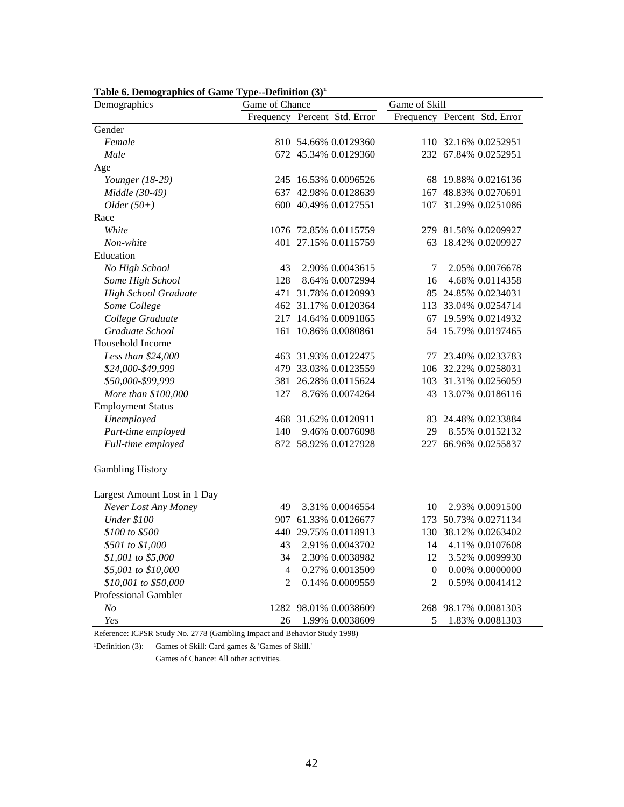| Demographics                 | Game of Chance |                              | Game of Skill    |                              |  |  |
|------------------------------|----------------|------------------------------|------------------|------------------------------|--|--|
|                              |                | Frequency Percent Std. Error |                  | Frequency Percent Std. Error |  |  |
| Gender                       |                |                              |                  |                              |  |  |
| Female                       |                | 810 54.66% 0.0129360         |                  | 110 32.16% 0.0252951         |  |  |
| Male                         |                | 672 45.34% 0.0129360         |                  | 232 67.84% 0.0252951         |  |  |
| Age                          |                |                              |                  |                              |  |  |
| Younger (18-29)              |                | 245 16.53% 0.0096526         |                  | 68 19.88% 0.0216136          |  |  |
| Middle (30-49)               |                | 637 42.98% 0.0128639         |                  | 167 48.83% 0.0270691         |  |  |
| $Older(50+)$                 |                | 600 40.49% 0.0127551         |                  | 107 31.29% 0.0251086         |  |  |
| Race                         |                |                              |                  |                              |  |  |
| White                        |                | 1076 72.85% 0.0115759        |                  | 279 81.58% 0.0209927         |  |  |
| Non-white                    |                | 401 27.15% 0.0115759         |                  | 63 18.42% 0.0209927          |  |  |
| Education                    |                |                              |                  |                              |  |  |
| No High School               | 43             | 2.90% 0.0043615              | 7                | 2.05% 0.0076678              |  |  |
| Some High School             | 128            | 8.64% 0.0072994              | 16               | 4.68% 0.0114358              |  |  |
| <b>High School Graduate</b>  |                | 471 31.78% 0.0120993         |                  | 85 24.85% 0.0234031          |  |  |
| Some College                 |                | 462 31.17% 0.0120364         |                  | 113 33.04% 0.0254714         |  |  |
| College Graduate             |                | 217 14.64% 0.0091865         |                  | 67 19.59% 0.0214932          |  |  |
| Graduate School              |                | 161 10.86% 0.0080861         |                  | 54 15.79% 0.0197465          |  |  |
| Household Income             |                |                              |                  |                              |  |  |
| Less than \$24,000           |                | 463 31.93% 0.0122475         |                  | 77 23.40% 0.0233783          |  |  |
| \$24,000-\$49,999            |                | 479 33.03% 0.0123559         |                  | 106 32.22% 0.0258031         |  |  |
| \$50,000-\$99,999            |                | 381 26.28% 0.0115624         |                  | 103 31.31% 0.0256059         |  |  |
| More than \$100,000          | 127            | 8.76% 0.0074264              | 43               | 13.07% 0.0186116             |  |  |
| <b>Employment Status</b>     |                |                              |                  |                              |  |  |
| Unemployed                   |                | 468 31.62% 0.0120911         |                  | 83 24.48% 0.0233884          |  |  |
| Part-time employed           | 140            | 9.46% 0.0076098              | 29               | 8.55% 0.0152132              |  |  |
| Full-time employed           |                | 872 58.92% 0.0127928         |                  | 227 66.96% 0.0255837         |  |  |
| <b>Gambling History</b>      |                |                              |                  |                              |  |  |
| Largest Amount Lost in 1 Day |                |                              |                  |                              |  |  |
| Never Lost Any Money         | 49             | 3.31% 0.0046554              | 10               | 2.93% 0.0091500              |  |  |
| <b>Under \$100</b>           |                | 907 61.33% 0.0126677         |                  | 173 50.73% 0.0271134         |  |  |
| \$100 to \$500               |                | 440 29.75% 0.0118913         |                  | 130 38.12% 0.0263402         |  |  |
| \$501 to \$1,000             | 43             | 2.91% 0.0043702              | 14               | 4.11% 0.0107608              |  |  |
| \$1,001 to \$5,000           | 34             | 2.30% 0.0038982              | 12               | 3.52% 0.0099930              |  |  |
| \$5,001 to \$10,000          | $\overline{4}$ | 0.27% 0.0013509              | $\boldsymbol{0}$ | 0.00% 0.0000000              |  |  |
| \$10,001 to \$50,000         | 2              | 0.14% 0.0009559              | 2                | 0.59% 0.0041412              |  |  |
| Professional Gambler         |                |                              |                  |                              |  |  |
| $N_{O}$                      |                | 1282 98.01% 0.0038609        |                  | 268 98.17% 0.0081303         |  |  |
| Yes                          | 26             | 1.99% 0.0038609              | 5                | 1.83% 0.0081303              |  |  |

Table 6. Demographics of Game Type--Definition  $(3)^1$ 

<sup>1</sup>Definition (3): Games of Skill: Card games & 'Games of Skill.'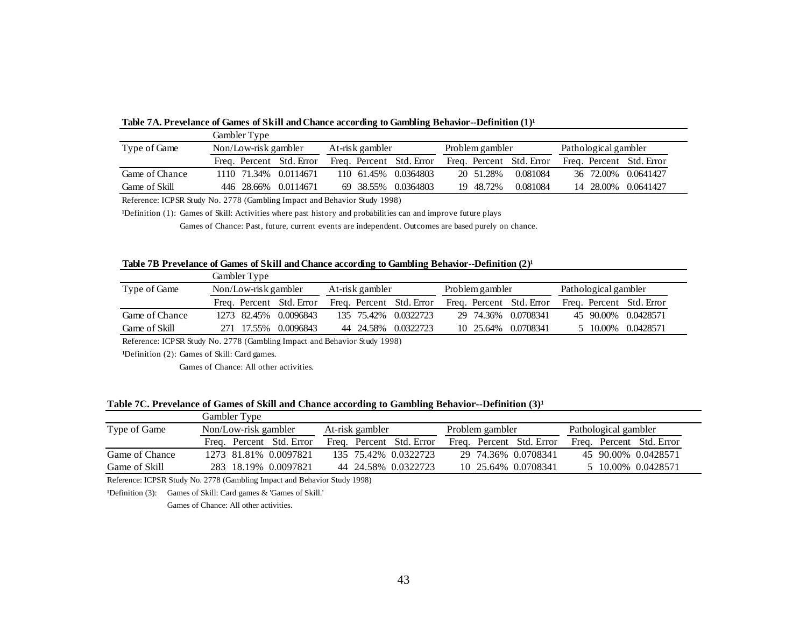|                | Gambler Type             |                          |                          |          |                          |  |  |
|----------------|--------------------------|--------------------------|--------------------------|----------|--------------------------|--|--|
| Type of Game   | Non/Low-risk gambler     | At-risk gambler          | Problem gambler          |          | Pathological gambler     |  |  |
|                | Freq. Percent Std. Error | Freq. Percent Std. Error | Freq. Percent Std. Error |          | Freq. Percent Std. Error |  |  |
| Game of Chance | 1110 71.34% 0.0114671    | 110 61.45% 0.0364803     | 20 51.28%                | 0.081084 | 36 72.00% 0.0641427      |  |  |
| Game of Skill  | 446 28.66% 0.0114671     | 69 38.55% 0.0364803      | 19 48.72%                | 0.081084 | 14 28,00% 0.0641427      |  |  |

Table 7A. Prevelance of Games of Skill and Chance according to Gambling Behavior--Definition  $(1)^1$ 

<sup>1</sup>Definition (1): Games of Skill: Activities where past history and probabilities can and improve future plays

Games of Chance: Past, future, current events are independent. Outcomes are based purely on chance.

#### Table 7B Prevelance of Games of Skill and Chance according to Gambling Behavior--Definition (2)<sup>1</sup>

|                | Gambler Type         |                          |                 |  |                          |                 |  |                          |                      |  |                          |
|----------------|----------------------|--------------------------|-----------------|--|--------------------------|-----------------|--|--------------------------|----------------------|--|--------------------------|
| Type of Game   | Non/Low-risk gambler |                          | At-risk gambler |  |                          | Problem gambler |  |                          | Pathological gambler |  |                          |
|                |                      | Freq. Percent Std. Error |                 |  | Freq. Percent Std. Error |                 |  | Freq. Percent Std. Error |                      |  | Freq. Percent Std. Error |
| Game of Chance |                      | 1273 82.45% 0.0096843    |                 |  | 135 75.42% 0.0322723     |                 |  | 29 74.36% 0.0708341      |                      |  | 45 90.00% 0.0428571      |
| Game of Skill  | 271 17.55%           | 0.0096843                |                 |  | 44 24.58% 0.0322723      |                 |  | 10 25.64% 0.0708341      |                      |  | 5 10.00% 0.0428571       |

Reference: ICPSR Study No. 2778 (Gambling Impact and Behavior Study 1998)

<sup>1</sup>Definition (2): Games of Skill: Card games.

Games of Chance: All other activities.

#### Table 7C. Prevelance of Games of Skill and Chance according to Gambling Behavior--Definition (3)<sup>1</sup>

|                |                      | Gambler Type |                          |                 |                          |                 |  |                          |  |  |                          |
|----------------|----------------------|--------------|--------------------------|-----------------|--------------------------|-----------------|--|--------------------------|--|--|--------------------------|
| Type of Game   | Non/Low-risk gambler |              |                          | At-risk gambler |                          | Problem gambler |  | Pathological gambler     |  |  |                          |
|                |                      |              | Freq. Percent Std. Error |                 | Freq. Percent Std. Error |                 |  | Freq. Percent Std. Error |  |  | Freq. Percent Std. Error |
| Game of Chance |                      |              | 1273 81.81% 0.0097821    |                 | 135 75.42% 0.0322723     |                 |  | 29 74.36% 0.0708341      |  |  | 45 90.00% 0.0428571      |
| Game of Skill  |                      |              | 283 18.19% 0.0097821     |                 | 44 24.58% 0.0322723      |                 |  | 10 25.64% 0.0708341      |  |  | 5 10.00% 0.0428571       |

Reference: ICPSR Study No. 2778 (Gambling Impact and Behavior Study 1998)

<sup>1</sup>Definition (3): Games of Skill: Card games & 'Games of Skill.'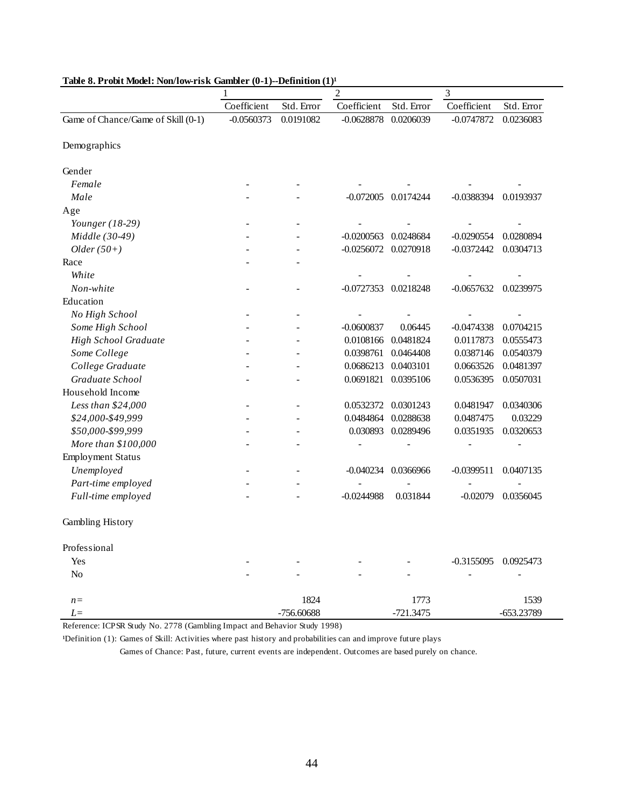|                                    | $\overline{c}$ |            |              | 3           |                      |            |  |  |
|------------------------------------|----------------|------------|--------------|-------------|----------------------|------------|--|--|
|                                    | Coefficient    | Std. Error | Coefficient  | Std. Error  | Coefficient          | Std. Error |  |  |
| Game of Chance/Game of Skill (0-1) | $-0.0560373$   | 0.0191082  | $-0.0628878$ | 0.0206039   | $-0.0747872$         | 0.0236083  |  |  |
| Demographics                       |                |            |              |             |                      |            |  |  |
| Gender                             |                |            |              |             |                      |            |  |  |
| Female                             |                |            |              |             |                      |            |  |  |
| Male                               |                |            | $-0.072005$  | 0.0174244   | $-0.0388394$         | 0.0193937  |  |  |
| Age                                |                |            |              |             |                      |            |  |  |
| Younger $(18-29)$                  |                |            |              |             |                      |            |  |  |
| Middle (30-49)                     |                |            | $-0.0200563$ | 0.0248684   | $-0.0290554$         | 0.0280894  |  |  |
| $Older(50+)$                       |                |            | $-0.0256072$ | 0.0270918   | $-0.0372442$         | 0.0304713  |  |  |
| Race                               |                |            |              |             |                      |            |  |  |
| White                              |                |            |              |             |                      |            |  |  |
| Non-white                          |                |            | $-0.0727353$ | 0.0218248   | $-0.0657632$         | 0.0239975  |  |  |
| Education                          |                |            |              |             |                      |            |  |  |
| No High School                     |                |            |              |             |                      |            |  |  |
| Some High School                   |                |            | $-0.0600837$ | 0.06445     | $-0.0474338$         | 0.0704215  |  |  |
| High School Graduate               |                |            | 0.0108166    | 0.0481824   | 0.0117873            | 0.0555473  |  |  |
| Some College                       |                |            | 0.0398761    | 0.0464408   | 0.0387146            | 0.0540379  |  |  |
| College Graduate                   |                |            | 0.0686213    | 0.0403101   | 0.0663526            | 0.0481397  |  |  |
| Graduate School                    |                |            | 0.0691821    | 0.0395106   | 0.0536395            | 0.0507031  |  |  |
| Household Income                   |                |            |              |             |                      |            |  |  |
| Less than \$24,000                 |                |            | 0.0532372    | 0.0301243   | 0.0481947            | 0.0340306  |  |  |
| \$24,000-\$49,999                  |                |            | 0.0484864    | 0.0288638   | 0.0487475            | 0.03229    |  |  |
| \$50,000-\$99,999                  |                |            | 0.030893     | 0.0289496   | 0.0351935            | 0.0320653  |  |  |
| More than \$100,000                |                |            |              |             |                      |            |  |  |
| <b>Employment Status</b>           |                |            |              |             |                      |            |  |  |
| Unemployed                         |                |            | $-0.040234$  | 0.0366966   | $-0.0399511$         | 0.0407135  |  |  |
| Part-time employed                 |                |            |              |             |                      |            |  |  |
| Full-time employed                 |                |            | $-0.0244988$ | 0.031844    | $-0.02079$           | 0.0356045  |  |  |
| Gambling History                   |                |            |              |             |                      |            |  |  |
| Professional                       |                |            |              |             |                      |            |  |  |
| Yes                                |                |            |              |             | -0.3155095 0.0925473 |            |  |  |
| No                                 |                |            |              |             |                      |            |  |  |
| $n =$                              |                | 1824       |              | 1773        |                      | 1539       |  |  |
| $L=$                               |                | -756.60688 |              | $-721.3475$ |                      | -653.23789 |  |  |

#### Table 8. Probit Model: Non/low-risk Gambler (0-1)--Definition (1)<sup>1</sup>

Reference: ICPSR Study No. 2778 (Gambling Impact and Behavior Study 1998)

<sup>1</sup>Definition (1): Games of Skill: Activities where past history and probabilities can and improve future plays

Games of Chance: Past, future, current events are independent. Outcomes are based purely on chance.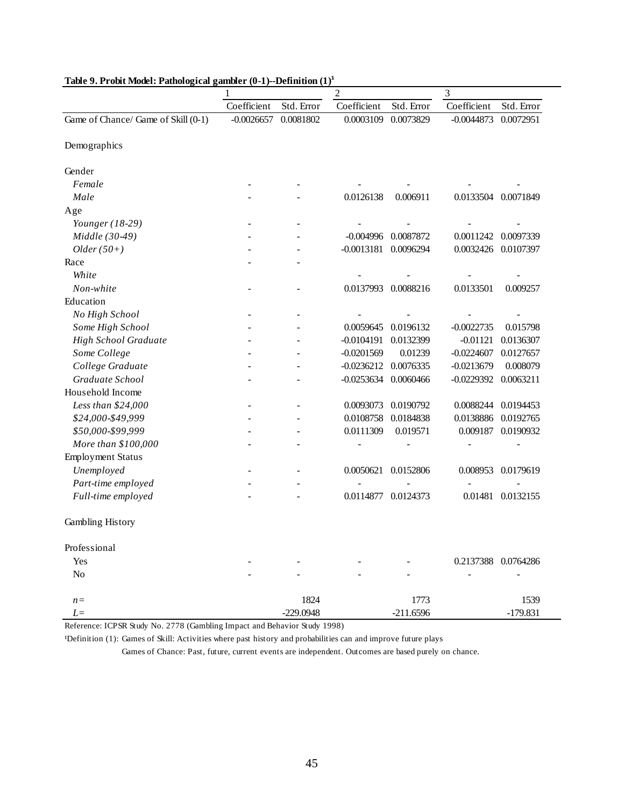|                                     | 1            |             | $\overline{c}$ |             | 3            |                     |  |
|-------------------------------------|--------------|-------------|----------------|-------------|--------------|---------------------|--|
|                                     | Coefficient  | Std. Error  | Coefficient    | Std. Error  | Coefficient  | Std. Error          |  |
| Game of Chance/ Game of Skill (0-1) | $-0.0026657$ | 0.0081802   | 0.0003109      | 0.0073829   | $-0.0044873$ | 0.0072951           |  |
| Demographics                        |              |             |                |             |              |                     |  |
| Gender                              |              |             |                |             |              |                     |  |
| Female                              |              |             |                |             |              |                     |  |
| Male                                |              |             | 0.0126138      | 0.006911    |              | 0.0133504 0.0071849 |  |
| Age                                 |              |             |                |             |              |                     |  |
| Younger $(18-29)$                   |              |             |                |             |              |                     |  |
| Middle (30-49)                      |              |             | $-0.004996$    | 0.0087872   | 0.0011242    | 0.0097339           |  |
| $Older(50+)$                        |              |             | $-0.0013181$   | 0.0096294   | 0.0032426    | 0.0107397           |  |
| Race                                |              |             |                |             |              |                     |  |
| White                               |              |             |                |             |              |                     |  |
| Non-white                           |              |             | 0.0137993      | 0.0088216   | 0.0133501    | 0.009257            |  |
| Education                           |              |             |                |             |              |                     |  |
| No High School                      |              |             |                |             |              |                     |  |
| Some High School                    |              |             | 0.0059645      | 0.0196132   | $-0.0022735$ | 0.015798            |  |
| High School Graduate                |              |             | $-0.0104191$   | 0.0132399   | $-0.01121$   | 0.0136307           |  |
| Some College                        |              |             | $-0.0201569$   | 0.01239     | $-0.0224607$ | 0.0127657           |  |
| College Graduate                    |              |             | $-0.0236212$   | 0.0076335   | $-0.0213679$ | 0.008079            |  |
| Graduate School                     |              |             | $-0.0253634$   | 0.0060466   | $-0.0229392$ | 0.0063211           |  |
| Household Income                    |              |             |                |             |              |                     |  |
| Less than \$24,000                  |              |             | 0.0093073      | 0.0190792   | 0.0088244    | 0.0194453           |  |
| \$24,000-\$49,999                   |              |             | 0.0108758      | 0.0184838   | 0.0138886    | 0.0192765           |  |
| \$50,000-\$99,999                   |              |             | 0.0111309      | 0.019571    | 0.009187     | 0.0190932           |  |
| More than \$100,000                 |              |             |                |             |              |                     |  |
| <b>Employment Status</b>            |              |             |                |             |              |                     |  |
| Unemployed                          |              |             | 0.0050621      | 0.0152806   | 0.008953     | 0.0179619           |  |
| Part-time employed                  |              |             |                |             |              |                     |  |
| Full-time employed                  |              |             | 0.0114877      | 0.0124373   |              | 0.01481 0.0132155   |  |
| Gambling History                    |              |             |                |             |              |                     |  |
| Professional                        |              |             |                |             |              |                     |  |
| Yes                                 |              |             |                |             |              | 0.2137388 0.0764286 |  |
| No                                  |              |             |                |             |              |                     |  |
| $n =$                               |              | 1824        |                | 1773        |              | 1539                |  |
| $L=$                                |              | $-229.0948$ |                | $-211.6596$ |              | $-179.831$          |  |

| Table 9. Probit Model: Pathological gambler (0-1)--Definition (1) <sup>1</sup> |  |  |  |
|--------------------------------------------------------------------------------|--|--|--|
|                                                                                |  |  |  |

<sup>1</sup>Definition (1): Games of Skill: Activities where past history and probabilities can and improve future plays

Games of Chance: Past, future, current events are independent. Outcomes are based purely on chance.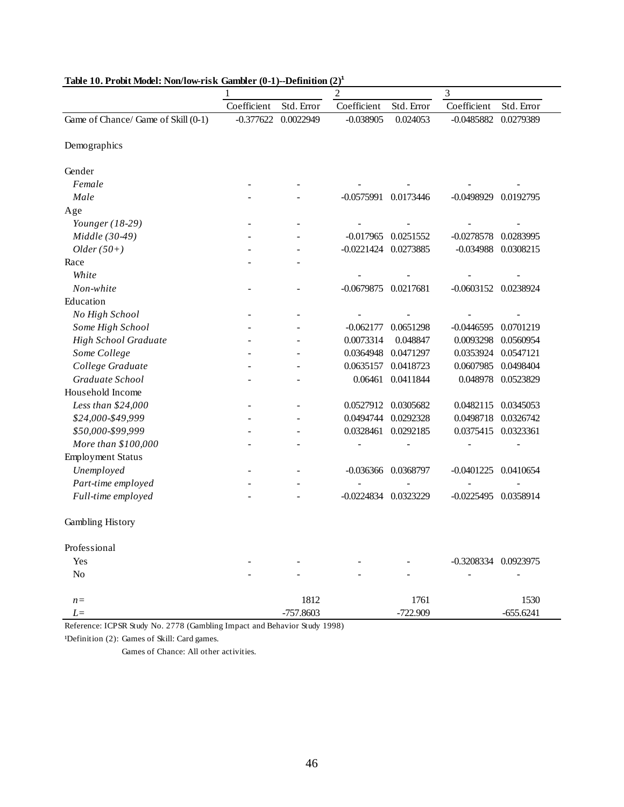|                                     | 1           |             | $\overline{c}$       |                     |                      |                          |
|-------------------------------------|-------------|-------------|----------------------|---------------------|----------------------|--------------------------|
|                                     | Coefficient | Std. Error  | Coefficient          | Std. Error          | Coefficient          | Std. Error               |
| Game of Chance/ Game of Skill (0-1) | $-0.377622$ | 0.0022949   | $-0.038905$          | 0.024053            | $-0.0485882$         | 0.0279389                |
| Demographics                        |             |             |                      |                     |                      |                          |
| Gender                              |             |             |                      |                     |                      |                          |
| Female                              |             |             |                      |                     |                      |                          |
| Male                                |             |             | -0.0575991 0.0173446 |                     | $-0.0498929$         | 0.0192795                |
| Age                                 |             |             |                      |                     |                      |                          |
| Younger $(18-29)$                   |             |             |                      |                     |                      |                          |
| Middle (30-49)                      |             |             | $-0.017965$          | 0.0251552           | $-0.0278578$         | 0.0283995                |
| $Older(50+)$                        |             |             | -0.0221424 0.0273885 |                     | $-0.034988$          | 0.0308215                |
| Race                                |             |             |                      |                     |                      |                          |
| White                               |             |             |                      |                     |                      |                          |
| Non-white                           |             |             | -0.0679875 0.0217681 |                     | -0.0603152 0.0238924 |                          |
| Education                           |             |             |                      |                     |                      |                          |
| No High School                      |             |             |                      |                     |                      |                          |
| Some High School                    |             |             | $-0.062177$          | 0.0651298           | $-0.0446595$         | 0.0701219                |
| High School Graduate                |             |             | 0.0073314            | 0.048847            | 0.0093298            | 0.0560954                |
| Some College                        |             |             | 0.0364948            | 0.0471297           | 0.0353924            | 0.0547121                |
| College Graduate                    |             |             | 0.0635157            | 0.0418723           | 0.0607985            | 0.0498404                |
| Graduate School                     |             |             | 0.06461              | 0.0411844           | 0.048978             | 0.0523829                |
| Household Income                    |             |             |                      |                     |                      |                          |
| Less than \$24,000                  |             |             |                      | 0.0527912 0.0305682 | 0.0482115            | 0.0345053                |
| \$24,000-\$49,999                   |             |             | 0.0494744            | 0.0292328           | 0.0498718            | 0.0326742                |
| \$50,000-\$99,999                   |             |             | 0.0328461            | 0.0292185           | 0.0375415            | 0.0323361                |
| More than \$100,000                 |             |             |                      |                     |                      |                          |
| Employment Status                   |             |             |                      |                     |                      |                          |
| Unemployed                          |             |             |                      | -0.036366 0.0368797 | $-0.0401225$         | 0.0410654                |
| Part-time employed                  |             |             |                      |                     |                      |                          |
| Full-time employed                  |             |             | $-0.0224834$         | 0.0323229           | $-0.0225495$         | 0.0358914                |
| Gambling History                    |             |             |                      |                     |                      |                          |
| Professional                        |             |             |                      |                     |                      |                          |
| Yes                                 |             |             |                      |                     | -0.3208334 0.0923975 |                          |
| No                                  |             |             |                      |                     |                      | $\overline{\phantom{0}}$ |
| $n =$                               |             | 1812        |                      | 1761                |                      | 1530                     |
| $L =$                               |             | $-757.8603$ |                      | $-722.909$          |                      | $-655.6241$              |

#### Table 10. Probit Model: Non/low-risk Gambler (0-1)--Definition  $(2)^1$

Reference: ICPSR Study No. 2778 (Gambling Impact and Behavior Study 1998)

<sup>1</sup>Definition (2): Games of Skill: Card games.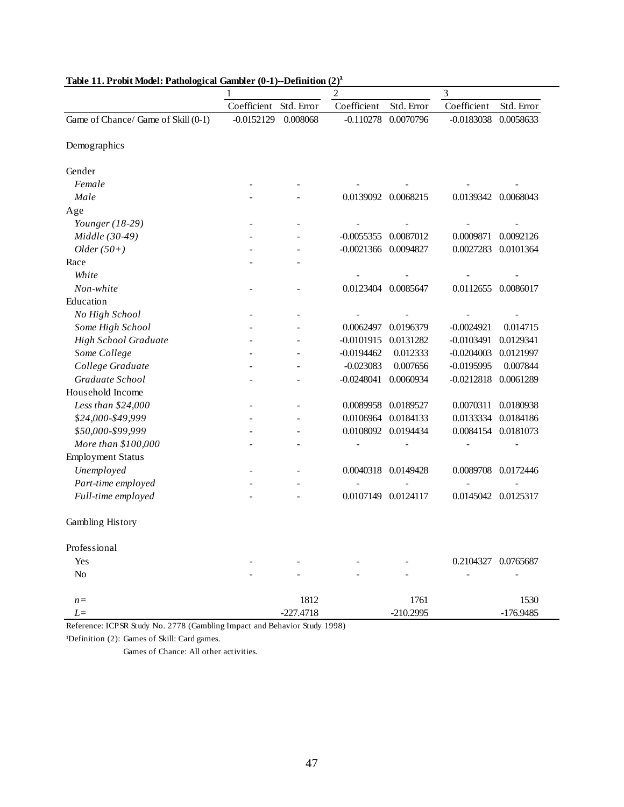|                                     |              |             | $\mathfrak{2}$       |                     | $\mathfrak{Z}$      |                     |  |
|-------------------------------------|--------------|-------------|----------------------|---------------------|---------------------|---------------------|--|
|                                     | Coefficient  | Std. Error  | Coefficient          | Std. Error          | Coefficient         | Std. Error          |  |
| Game of Chance/ Game of Skill (0-1) | $-0.0152129$ | 0.008068    | $-0.110278$          | 0.0070796           | $-0.0183038$        | 0.0058633           |  |
| Demographics                        |              |             |                      |                     |                     |                     |  |
| Gender                              |              |             |                      |                     |                     |                     |  |
| Female                              |              |             |                      |                     |                     |                     |  |
| Male                                |              |             |                      | 0.0139092 0.0068215 |                     | 0.0139342 0.0068043 |  |
| Age                                 |              |             |                      |                     |                     |                     |  |
| Younger (18-29)                     |              |             |                      |                     |                     |                     |  |
| Middle (30-49)                      |              |             | $-0.0055355$         | 0.0087012           | 0.0009871           | 0.0092126           |  |
| $Older(50+)$                        |              |             | -0.0021366 0.0094827 |                     | 0.0027283           | 0.0101364           |  |
| Race                                |              |             |                      |                     |                     |                     |  |
| White                               |              |             |                      |                     |                     |                     |  |
| Non-white                           |              |             | 0.0123404            | 0.0085647           | 0.0112655           | 0.0086017           |  |
| Education                           |              |             |                      |                     |                     |                     |  |
| No High School                      |              |             |                      |                     |                     |                     |  |
| Some High School                    |              |             | 0.0062497            | 0.0196379           | $-0.0024921$        | 0.014715            |  |
| <b>High School Graduate</b>         |              |             | $-0.0101915$         | 0.0131282           | $-0.0103491$        | 0.0129341           |  |
| Some College                        |              |             | $-0.0194462$         | 0.012333            | $-0.0204003$        | 0.0121997           |  |
| College Graduate                    |              |             | $-0.023083$          | 0.007656            | $-0.0195995$        | 0.007844            |  |
| Graduate School                     |              |             | $-0.0248041$         | 0.0060934           | $-0.0212818$        | 0.0061289           |  |
| Household Income                    |              |             |                      |                     |                     |                     |  |
| Less than \$24,000                  |              |             | 0.0089958            | 0.0189527           | 0.0070311           | 0.0180938           |  |
| \$24,000-\$49,999                   |              |             | 0.0106964            | 0.0184133           | 0.0133334           | 0.0184186           |  |
| \$50,000-\$99,999                   |              |             |                      | 0.0108092 0.0194434 | 0.0084154           | 0.0181073           |  |
| More than \$100,000                 |              |             |                      |                     |                     |                     |  |
| Employment Status                   |              |             |                      |                     |                     |                     |  |
| Unemployed                          |              |             |                      | 0.0040318 0.0149428 | 0.0089708           | 0.0172446           |  |
| Part-time employed                  |              |             |                      |                     |                     |                     |  |
| Full-time employed                  |              |             | 0.0107149            | 0.0124117           | 0.0145042           | 0.0125317           |  |
| Gambling History                    |              |             |                      |                     |                     |                     |  |
| Professional                        |              |             |                      |                     |                     |                     |  |
| Yes                                 |              |             |                      |                     | 0.2104327 0.0765687 |                     |  |
| No                                  |              |             |                      |                     |                     |                     |  |
| $n =$                               |              | 1812        |                      | 1761                |                     | 1530                |  |
| $L=$                                |              | $-227.4718$ |                      | $-210.2995$         |                     | $-176.9485$         |  |

Table 11. Probit Model: Pathological Gambler (0-1)--Definition (2)<sup>1</sup>

<sup>1</sup>Definition (2): Games of Skill: Card games.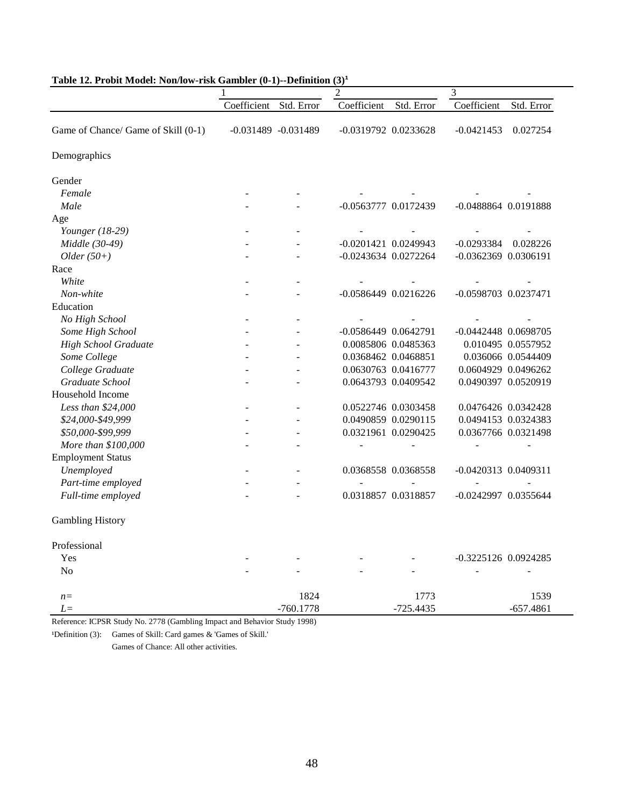| Lable 12. I Fobit Model. Foll/Tow-Fisk Gambiel (0-1)--Definition |             |                        | $\mathbf{U}$<br>$\overline{2}$ |                     | $\mathfrak{Z}$           |                      |  |
|------------------------------------------------------------------|-------------|------------------------|--------------------------------|---------------------|--------------------------|----------------------|--|
|                                                                  | Coefficient | Std. Error             | Coefficient                    | Std. Error          | Coefficient              | Std. Error           |  |
| Game of Chance/ Game of Skill (0-1)                              |             | $-0.031489 - 0.031489$ | $-0.0319792$ $0.0233628$       |                     | $-0.0421453$             | 0.027254             |  |
| Demographics                                                     |             |                        |                                |                     |                          |                      |  |
| Gender                                                           |             |                        |                                |                     |                          |                      |  |
| Female                                                           |             |                        |                                |                     |                          |                      |  |
| Male                                                             |             |                        | -0.0563777 0.0172439           |                     | -0.0488864 0.0191888     |                      |  |
| Age                                                              |             |                        |                                |                     |                          |                      |  |
| Younger (18-29)                                                  |             |                        |                                |                     |                          |                      |  |
| Middle (30-49)                                                   |             |                        | -0.0201421 0.0249943           |                     | $-0.0293384$             | 0.028226             |  |
| $Older(50+)$                                                     |             | ÷.                     | -0.0243634 0.0272264           |                     | -0.0362369 0.0306191     |                      |  |
| Race                                                             |             |                        |                                |                     |                          |                      |  |
| White                                                            |             |                        |                                |                     |                          |                      |  |
| Non-white                                                        |             |                        | -0.0586449 0.0216226           |                     | -0.0598703 0.0237471     |                      |  |
| Education                                                        |             |                        |                                |                     |                          |                      |  |
| No High School                                                   |             |                        |                                |                     |                          |                      |  |
| Some High School                                                 |             |                        | -0.0586449 0.0642791           |                     |                          | -0.0442448 0.0698705 |  |
| <b>High School Graduate</b>                                      |             |                        |                                | 0.0085806 0.0485363 |                          | 0.010495 0.0557952   |  |
| Some College                                                     |             |                        | 0.0368462 0.0468851            |                     |                          | 0.036066 0.0544409   |  |
| College Graduate                                                 |             |                        |                                | 0.0630763 0.0416777 |                          | 0.0604929 0.0496262  |  |
| Graduate School                                                  |             |                        |                                | 0.0643793 0.0409542 |                          | 0.0490397 0.0520919  |  |
| Household Income                                                 |             |                        |                                |                     |                          |                      |  |
| Less than \$24,000                                               |             |                        |                                | 0.0522746 0.0303458 |                          | 0.0476426 0.0342428  |  |
| \$24,000-\$49,999                                                |             | $\overline{a}$         |                                | 0.0490859 0.0290115 |                          | 0.0494153 0.0324383  |  |
| \$50,000-\$99,999                                                |             | $\overline{a}$         |                                | 0.0321961 0.0290425 |                          | 0.0367766 0.0321498  |  |
| More than \$100,000                                              |             |                        | ٠                              |                     |                          |                      |  |
| <b>Employment Status</b>                                         |             |                        |                                |                     |                          |                      |  |
| Unemployed                                                       |             | $\sim$                 |                                | 0.0368558 0.0368558 | $-0.0420313$ $0.0409311$ |                      |  |
| Part-time employed                                               |             | $\overline{a}$         | $\blacksquare$                 |                     | $\overline{a}$           |                      |  |
| Full-time employed                                               |             |                        |                                | 0.0318857 0.0318857 |                          | -0.0242997 0.0355644 |  |
| <b>Gambling History</b>                                          |             |                        |                                |                     |                          |                      |  |
| Professional                                                     |             |                        |                                |                     |                          |                      |  |
| Yes                                                              |             |                        |                                |                     |                          | -0.3225126 0.0924285 |  |
| N <sub>o</sub>                                                   |             |                        |                                |                     |                          |                      |  |
| $n=$                                                             |             | 1824                   |                                | 1773                |                          | 1539                 |  |
| L=                                                               |             | $-760.1778$            |                                | $-725.4435$         |                          | $-657.4861$          |  |

#### **Table 12. Probit Model: Non/low-risk Gambler (0-1)--Definition (3)¹**

Reference: ICPSR Study No. 2778 (Gambling Impact and Behavior Study 1998)

<sup>1</sup>Definition (3): Games of Skill: Card games & 'Games of Skill.'